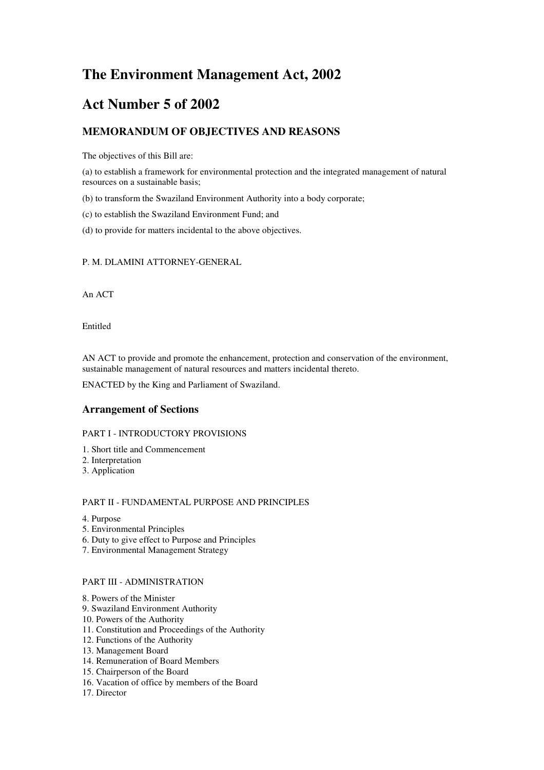# **The Environment Management Act, 2002**

# **Act Number 5 of 2002**

# **MEMORANDUM OF OBJECTIVES AND REASONS**

The objectives of this Bill are:

(a) to establish a framework for environmental protection and the integrated management of natural resources on a sustainable basis;

(b) to transform the Swaziland Environment Authority into a body corporate;

(c) to establish the Swaziland Environment Fund; and

(d) to provide for matters incidental to the above objectives.

# P. M. DLAMINI ATTORNEY-GENERAL

An ACT

Entitled

AN ACT to provide and promote the enhancement, protection and conservation of the environment, sustainable management of natural resources and matters incidental thereto.

ENACTED by the King and Parliament of Swaziland.

# **Arrangement of Sections**

#### PART I - INTRODUCTORY PROVISIONS

- 1. Short title and Commencement
- 2. Interpretation
- 3. Application

### PART II - FUNDAMENTAL PURPOSE AND PRINCIPLES

- 4. Purpose
- 5. Environmental Principles
- 6. Duty to give effect to Purpose and Principles
- 7. Environmental Management Strategy

# PART III - ADMINISTRATION

- 8. Powers of the Minister
- 9. Swaziland Environment Authority
- 10. Powers of the Authority
- 11. Constitution and Proceedings of the Authority
- 12. Functions of the Authority
- 13. Management Board
- 14. Remuneration of Board Members
- 15. Chairperson of the Board
- 16. Vacation of office by members of the Board
- 17. Director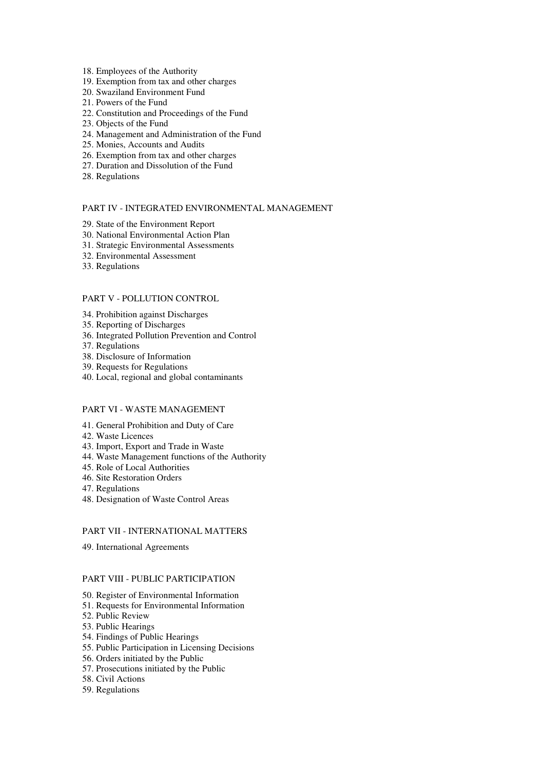- 18. Employees of the Authority
- 19. Exemption from tax and other charges
- 20. Swaziland Environment Fund
- 21. Powers of the Fund
- 22. Constitution and Proceedings of the Fund
- 23. Objects of the Fund
- 24. Management and Administration of the Fund
- 25. Monies, Accounts and Audits
- 26. Exemption from tax and other charges
- 27. Duration and Dissolution of the Fund
- 28. Regulations

### PART IV - INTEGRATED ENVIRONMENTAL MANAGEMENT

- 29. State of the Environment Report
- 30. National Environmental Action Plan
- 31. Strategic Environmental Assessments
- 32. Environmental Assessment
- 33. Regulations

### PART V - POLLUTION CONTROL

- 34. Prohibition against Discharges
- 35. Reporting of Discharges
- 36. Integrated Pollution Prevention and Control
- 37. Regulations
- 38. Disclosure of Information
- 39. Requests for Regulations
- 40. Local, regional and global contaminants

# PART VI - WASTE MANAGEMENT

- 41. General Prohibition and Duty of Care
- 42. Waste Licences
- 43. Import, Export and Trade in Waste
- 44. Waste Management functions of the Authority
- 45. Role of Local Authorities
- 46. Site Restoration Orders
- 47. Regulations
- 48. Designation of Waste Control Areas

### PART VII - INTERNATIONAL MATTERS

49. International Agreements

#### PART VIII - PUBLIC PARTICIPATION

- 50. Register of Environmental Information
- 51. Requests for Environmental Information
- 52. Public Review
- 53. Public Hearings
- 54. Findings of Public Hearings
- 55. Public Participation in Licensing Decisions
- 56. Orders initiated by the Public
- 57. Prosecutions initiated by the Public
- 58. Civil Actions
- 59. Regulations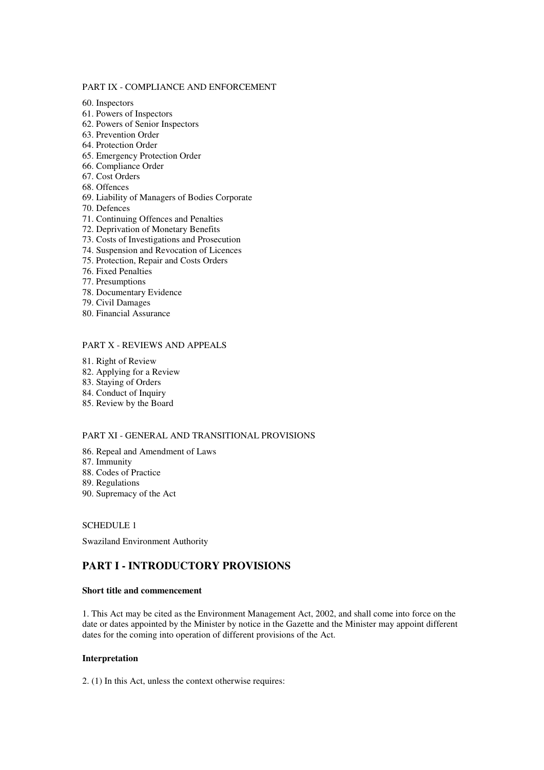#### PART IX - COMPLIANCE AND ENFORCEMENT

60. Inspectors

- 61. Powers of Inspectors
- 62. Powers of Senior Inspectors
- 63. Prevention Order
- 64. Protection Order
- 65. Emergency Protection Order
- 66. Compliance Order
- 67. Cost Orders
- 68. Offences
- 69. Liability of Managers of Bodies Corporate
- 70. Defences
- 71. Continuing Offences and Penalties
- 72. Deprivation of Monetary Benefits
- 73. Costs of Investigations and Prosecution
- 74. Suspension and Revocation of Licences
- 75. Protection, Repair and Costs Orders
- 76. Fixed Penalties
- 77. Presumptions
- 78. Documentary Evidence
- 79. Civil Damages
- 80. Financial Assurance

# PART X - REVIEWS AND APPEALS

- 81. Right of Review
- 82. Applying for a Review
- 83. Staying of Orders
- 84. Conduct of Inquiry
- 85. Review by the Board

# PART XI - GENERAL AND TRANSITIONAL PROVISIONS

- 86. Repeal and Amendment of Laws
- 87. Immunity
- 88. Codes of Practice
- 89. Regulations
- 90. Supremacy of the Act

#### SCHEDULE 1

Swaziland Environment Authority

# **PART I - INTRODUCTORY PROVISIONS**

# **Short title and commencement**

1. This Act may be cited as the Environment Management Act, 2002, and shall come into force on the date or dates appointed by the Minister by notice in the Gazette and the Minister may appoint different dates for the coming into operation of different provisions of the Act.

### **Interpretation**

2. (1) In this Act, unless the context otherwise requires: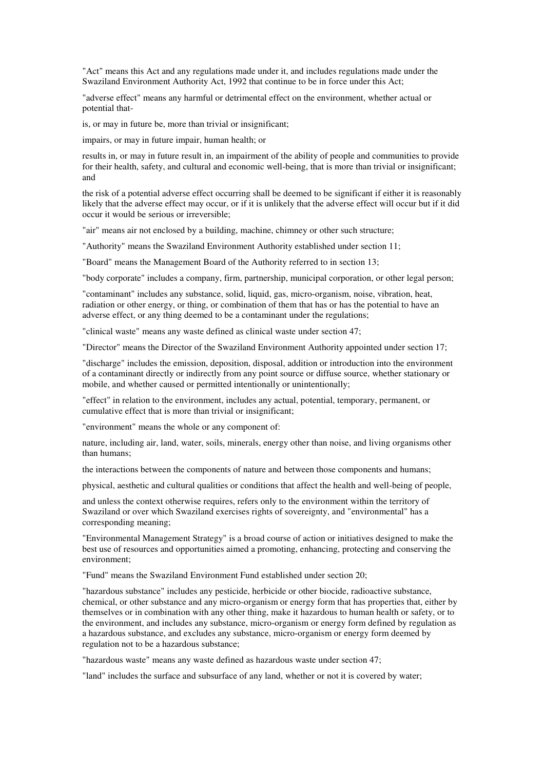"Act" means this Act and any regulations made under it, and includes regulations made under the Swaziland Environment Authority Act, 1992 that continue to be in force under this Act;

"adverse effect" means any harmful or detrimental effect on the environment, whether actual or potential that-

is, or may in future be, more than trivial or insignificant;

impairs, or may in future impair, human health; or

results in, or may in future result in, an impairment of the ability of people and communities to provide for their health, safety, and cultural and economic well-being, that is more than trivial or insignificant; and

the risk of a potential adverse effect occurring shall be deemed to be significant if either it is reasonably likely that the adverse effect may occur, or if it is unlikely that the adverse effect will occur but if it did occur it would be serious or irreversible;

"air" means air not enclosed by a building, machine, chimney or other such structure;

"Authority" means the Swaziland Environment Authority established under section 11;

"Board" means the Management Board of the Authority referred to in section 13;

"body corporate" includes a company, firm, partnership, municipal corporation, or other legal person;

"contaminant" includes any substance, solid, liquid, gas, micro-organism, noise, vibration, heat, radiation or other energy, or thing, or combination of them that has or has the potential to have an adverse effect, or any thing deemed to be a contaminant under the regulations;

"clinical waste" means any waste defined as clinical waste under section 47;

"Director" means the Director of the Swaziland Environment Authority appointed under section 17;

"discharge" includes the emission, deposition, disposal, addition or introduction into the environment of a contaminant directly or indirectly from any point source or diffuse source, whether stationary or mobile, and whether caused or permitted intentionally or unintentionally;

"effect" in relation to the environment, includes any actual, potential, temporary, permanent, or cumulative effect that is more than trivial or insignificant;

"environment" means the whole or any component of:

nature, including air, land, water, soils, minerals, energy other than noise, and living organisms other than humans;

the interactions between the components of nature and between those components and humans;

physical, aesthetic and cultural qualities or conditions that affect the health and well-being of people,

and unless the context otherwise requires, refers only to the environment within the territory of Swaziland or over which Swaziland exercises rights of sovereignty, and "environmental" has a corresponding meaning;

"Environmental Management Strategy" is a broad course of action or initiatives designed to make the best use of resources and opportunities aimed a promoting, enhancing, protecting and conserving the environment;

"Fund" means the Swaziland Environment Fund established under section 20;

"hazardous substance" includes any pesticide, herbicide or other biocide, radioactive substance, chemical, or other substance and any micro-organism or energy form that has properties that, either by themselves or in combination with any other thing, make it hazardous to human health or safety, or to the environment, and includes any substance, micro-organism or energy form defined by regulation as a hazardous substance, and excludes any substance, micro-organism or energy form deemed by regulation not to be a hazardous substance;

"hazardous waste" means any waste defined as hazardous waste under section 47;

"land" includes the surface and subsurface of any land, whether or not it is covered by water;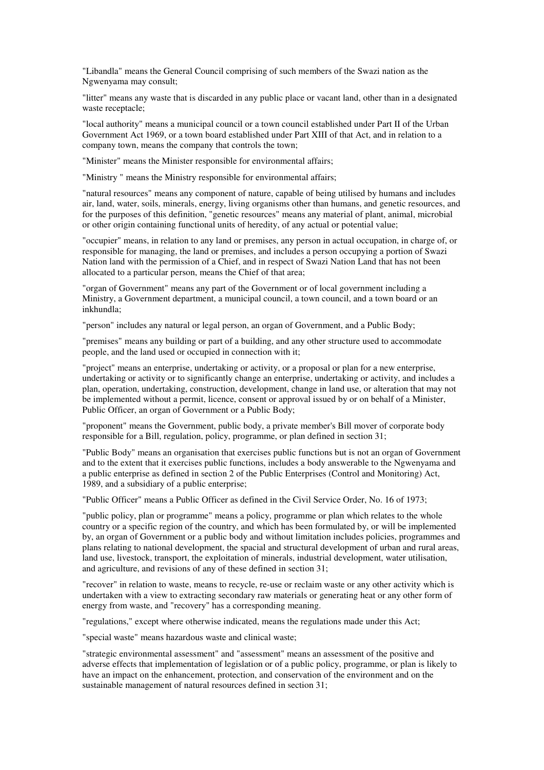"Libandla" means the General Council comprising of such members of the Swazi nation as the Ngwenyama may consult;

"litter" means any waste that is discarded in any public place or vacant land, other than in a designated waste receptacle:

"local authority" means a municipal council or a town council established under Part II of the Urban Government Act 1969, or a town board established under Part XIII of that Act, and in relation to a company town, means the company that controls the town;

"Minister" means the Minister responsible for environmental affairs;

"Ministry " means the Ministry responsible for environmental affairs;

"natural resources" means any component of nature, capable of being utilised by humans and includes air, land, water, soils, minerals, energy, living organisms other than humans, and genetic resources, and for the purposes of this definition, "genetic resources" means any material of plant, animal, microbial or other origin containing functional units of heredity, of any actual or potential value;

"occupier" means, in relation to any land or premises, any person in actual occupation, in charge of, or responsible for managing, the land or premises, and includes a person occupying a portion of Swazi Nation land with the permission of a Chief, and in respect of Swazi Nation Land that has not been allocated to a particular person, means the Chief of that area;

"organ of Government" means any part of the Government or of local government including a Ministry, a Government department, a municipal council, a town council, and a town board or an inkhundla;

"person" includes any natural or legal person, an organ of Government, and a Public Body;

"premises" means any building or part of a building, and any other structure used to accommodate people, and the land used or occupied in connection with it;

"project" means an enterprise, undertaking or activity, or a proposal or plan for a new enterprise, undertaking or activity or to significantly change an enterprise, undertaking or activity, and includes a plan, operation, undertaking, construction, development, change in land use, or alteration that may not be implemented without a permit, licence, consent or approval issued by or on behalf of a Minister, Public Officer, an organ of Government or a Public Body;

"proponent" means the Government, public body, a private member's Bill mover of corporate body responsible for a Bill, regulation, policy, programme, or plan defined in section 31;

"Public Body" means an organisation that exercises public functions but is not an organ of Government and to the extent that it exercises public functions, includes a body answerable to the Ngwenyama and a public enterprise as defined in section 2 of the Public Enterprises (Control and Monitoring) Act, 1989, and a subsidiary of a public enterprise;

"Public Officer" means a Public Officer as defined in the Civil Service Order, No. 16 of 1973;

"public policy, plan or programme" means a policy, programme or plan which relates to the whole country or a specific region of the country, and which has been formulated by, or will be implemented by, an organ of Government or a public body and without limitation includes policies, programmes and plans relating to national development, the spacial and structural development of urban and rural areas, land use, livestock, transport, the exploitation of minerals, industrial development, water utilisation, and agriculture, and revisions of any of these defined in section 31;

"recover" in relation to waste, means to recycle, re-use or reclaim waste or any other activity which is undertaken with a view to extracting secondary raw materials or generating heat or any other form of energy from waste, and "recovery" has a corresponding meaning.

"regulations," except where otherwise indicated, means the regulations made under this Act;

"special waste" means hazardous waste and clinical waste;

"strategic environmental assessment" and "assessment" means an assessment of the positive and adverse effects that implementation of legislation or of a public policy, programme, or plan is likely to have an impact on the enhancement, protection, and conservation of the environment and on the sustainable management of natural resources defined in section 31;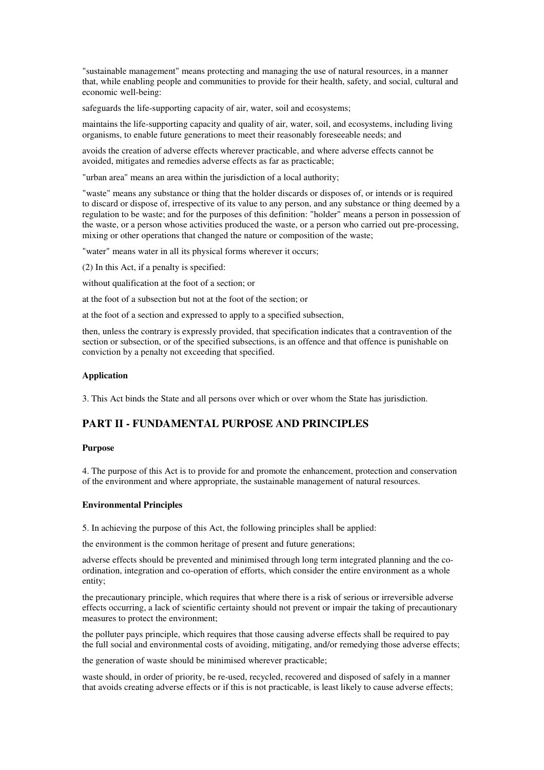"sustainable management" means protecting and managing the use of natural resources, in a manner that, while enabling people and communities to provide for their health, safety, and social, cultural and economic well-being:

safeguards the life-supporting capacity of air, water, soil and ecosystems;

maintains the life-supporting capacity and quality of air, water, soil, and ecosystems, including living organisms, to enable future generations to meet their reasonably foreseeable needs; and

avoids the creation of adverse effects wherever practicable, and where adverse effects cannot be avoided, mitigates and remedies adverse effects as far as practicable;

"urban area" means an area within the jurisdiction of a local authority;

"waste" means any substance or thing that the holder discards or disposes of, or intends or is required to discard or dispose of, irrespective of its value to any person, and any substance or thing deemed by a regulation to be waste; and for the purposes of this definition: "holder" means a person in possession of the waste, or a person whose activities produced the waste, or a person who carried out pre-processing, mixing or other operations that changed the nature or composition of the waste;

"water" means water in all its physical forms wherever it occurs;

(2) In this Act, if a penalty is specified:

without qualification at the foot of a section; or

at the foot of a subsection but not at the foot of the section; or

at the foot of a section and expressed to apply to a specified subsection,

then, unless the contrary is expressly provided, that specification indicates that a contravention of the section or subsection, or of the specified subsections, is an offence and that offence is punishable on conviction by a penalty not exceeding that specified.

# **Application**

3. This Act binds the State and all persons over which or over whom the State has jurisdiction.

# **PART II - FUNDAMENTAL PURPOSE AND PRINCIPLES**

# **Purpose**

4. The purpose of this Act is to provide for and promote the enhancement, protection and conservation of the environment and where appropriate, the sustainable management of natural resources.

#### **Environmental Principles**

5. In achieving the purpose of this Act, the following principles shall be applied:

the environment is the common heritage of present and future generations;

adverse effects should be prevented and minimised through long term integrated planning and the coordination, integration and co-operation of efforts, which consider the entire environment as a whole entity;

the precautionary principle, which requires that where there is a risk of serious or irreversible adverse effects occurring, a lack of scientific certainty should not prevent or impair the taking of precautionary measures to protect the environment;

the polluter pays principle, which requires that those causing adverse effects shall be required to pay the full social and environmental costs of avoiding, mitigating, and/or remedying those adverse effects;

the generation of waste should be minimised wherever practicable;

waste should, in order of priority, be re-used, recycled, recovered and disposed of safely in a manner that avoids creating adverse effects or if this is not practicable, is least likely to cause adverse effects;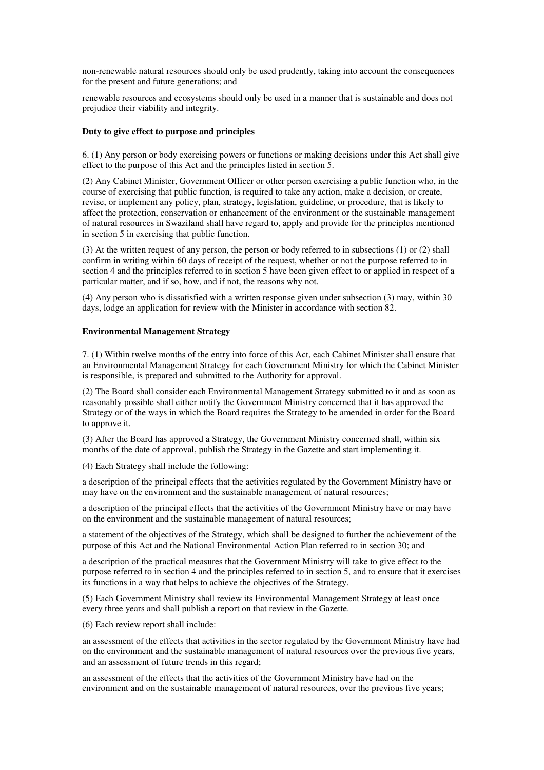non-renewable natural resources should only be used prudently, taking into account the consequences for the present and future generations; and

renewable resources and ecosystems should only be used in a manner that is sustainable and does not prejudice their viability and integrity.

#### **Duty to give effect to purpose and principles**

6. (1) Any person or body exercising powers or functions or making decisions under this Act shall give effect to the purpose of this Act and the principles listed in section 5.

(2) Any Cabinet Minister, Government Officer or other person exercising a public function who, in the course of exercising that public function, is required to take any action, make a decision, or create, revise, or implement any policy, plan, strategy, legislation, guideline, or procedure, that is likely to affect the protection, conservation or enhancement of the environment or the sustainable management of natural resources in Swaziland shall have regard to, apply and provide for the principles mentioned in section 5 in exercising that public function.

(3) At the written request of any person, the person or body referred to in subsections (1) or (2) shall confirm in writing within 60 days of receipt of the request, whether or not the purpose referred to in section 4 and the principles referred to in section 5 have been given effect to or applied in respect of a particular matter, and if so, how, and if not, the reasons why not.

(4) Any person who is dissatisfied with a written response given under subsection (3) may, within 30 days, lodge an application for review with the Minister in accordance with section 82.

#### **Environmental Management Strategy**

7. (1) Within twelve months of the entry into force of this Act, each Cabinet Minister shall ensure that an Environmental Management Strategy for each Government Ministry for which the Cabinet Minister is responsible, is prepared and submitted to the Authority for approval.

(2) The Board shall consider each Environmental Management Strategy submitted to it and as soon as reasonably possible shall either notify the Government Ministry concerned that it has approved the Strategy or of the ways in which the Board requires the Strategy to be amended in order for the Board to approve it.

(3) After the Board has approved a Strategy, the Government Ministry concerned shall, within six months of the date of approval, publish the Strategy in the Gazette and start implementing it.

(4) Each Strategy shall include the following:

a description of the principal effects that the activities regulated by the Government Ministry have or may have on the environment and the sustainable management of natural resources;

a description of the principal effects that the activities of the Government Ministry have or may have on the environment and the sustainable management of natural resources;

a statement of the objectives of the Strategy, which shall be designed to further the achievement of the purpose of this Act and the National Environmental Action Plan referred to in section 30; and

a description of the practical measures that the Government Ministry will take to give effect to the purpose referred to in section 4 and the principles referred to in section 5, and to ensure that it exercises its functions in a way that helps to achieve the objectives of the Strategy.

(5) Each Government Ministry shall review its Environmental Management Strategy at least once every three years and shall publish a report on that review in the Gazette.

(6) Each review report shall include:

an assessment of the effects that activities in the sector regulated by the Government Ministry have had on the environment and the sustainable management of natural resources over the previous five years, and an assessment of future trends in this regard;

an assessment of the effects that the activities of the Government Ministry have had on the environment and on the sustainable management of natural resources, over the previous five years;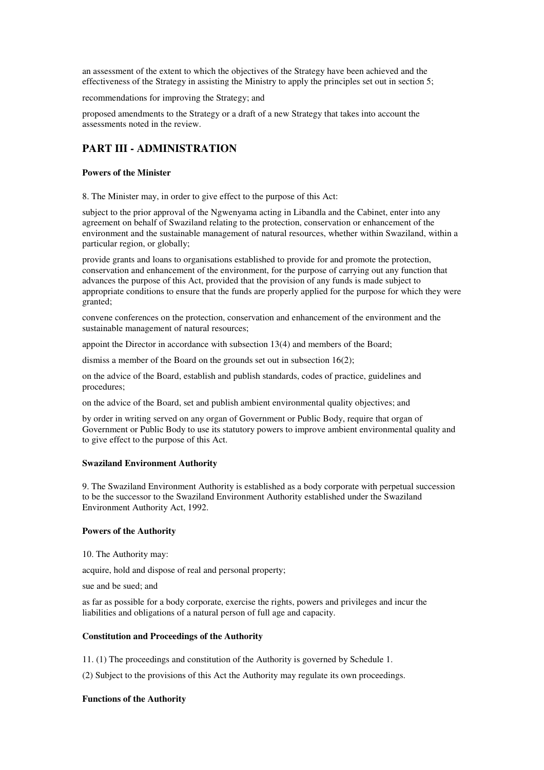an assessment of the extent to which the objectives of the Strategy have been achieved and the effectiveness of the Strategy in assisting the Ministry to apply the principles set out in section 5;

recommendations for improving the Strategy; and

proposed amendments to the Strategy or a draft of a new Strategy that takes into account the assessments noted in the review.

# **PART III - ADMINISTRATION**

### **Powers of the Minister**

8. The Minister may, in order to give effect to the purpose of this Act:

subject to the prior approval of the Ngwenyama acting in Libandla and the Cabinet, enter into any agreement on behalf of Swaziland relating to the protection, conservation or enhancement of the environment and the sustainable management of natural resources, whether within Swaziland, within a particular region, or globally;

provide grants and loans to organisations established to provide for and promote the protection, conservation and enhancement of the environment, for the purpose of carrying out any function that advances the purpose of this Act, provided that the provision of any funds is made subject to appropriate conditions to ensure that the funds are properly applied for the purpose for which they were granted;

convene conferences on the protection, conservation and enhancement of the environment and the sustainable management of natural resources;

appoint the Director in accordance with subsection 13(4) and members of the Board;

dismiss a member of the Board on the grounds set out in subsection 16(2);

on the advice of the Board, establish and publish standards, codes of practice, guidelines and procedures;

on the advice of the Board, set and publish ambient environmental quality objectives; and

by order in writing served on any organ of Government or Public Body, require that organ of Government or Public Body to use its statutory powers to improve ambient environmental quality and to give effect to the purpose of this Act.

#### **Swaziland Environment Authority**

9. The Swaziland Environment Authority is established as a body corporate with perpetual succession to be the successor to the Swaziland Environment Authority established under the Swaziland Environment Authority Act, 1992.

#### **Powers of the Authority**

10. The Authority may:

acquire, hold and dispose of real and personal property;

sue and be sued; and

as far as possible for a body corporate, exercise the rights, powers and privileges and incur the liabilities and obligations of a natural person of full age and capacity.

#### **Constitution and Proceedings of the Authority**

11. (1) The proceedings and constitution of the Authority is governed by Schedule 1.

(2) Subject to the provisions of this Act the Authority may regulate its own proceedings.

#### **Functions of the Authority**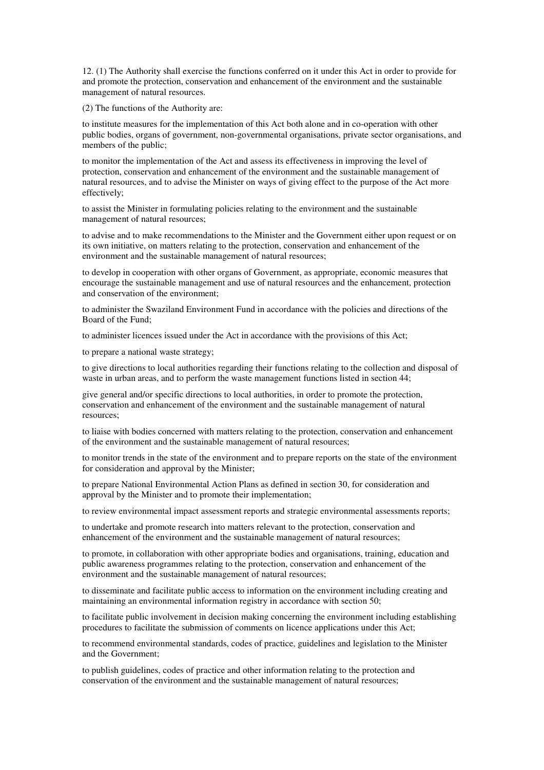12. (1) The Authority shall exercise the functions conferred on it under this Act in order to provide for and promote the protection, conservation and enhancement of the environment and the sustainable management of natural resources.

(2) The functions of the Authority are:

to institute measures for the implementation of this Act both alone and in co-operation with other public bodies, organs of government, non-governmental organisations, private sector organisations, and members of the public;

to monitor the implementation of the Act and assess its effectiveness in improving the level of protection, conservation and enhancement of the environment and the sustainable management of natural resources, and to advise the Minister on ways of giving effect to the purpose of the Act more effectively;

to assist the Minister in formulating policies relating to the environment and the sustainable management of natural resources;

to advise and to make recommendations to the Minister and the Government either upon request or on its own initiative, on matters relating to the protection, conservation and enhancement of the environment and the sustainable management of natural resources;

to develop in cooperation with other organs of Government, as appropriate, economic measures that encourage the sustainable management and use of natural resources and the enhancement, protection and conservation of the environment;

to administer the Swaziland Environment Fund in accordance with the policies and directions of the Board of the Fund;

to administer licences issued under the Act in accordance with the provisions of this Act;

to prepare a national waste strategy;

to give directions to local authorities regarding their functions relating to the collection and disposal of waste in urban areas, and to perform the waste management functions listed in section 44;

give general and/or specific directions to local authorities, in order to promote the protection, conservation and enhancement of the environment and the sustainable management of natural resources;

to liaise with bodies concerned with matters relating to the protection, conservation and enhancement of the environment and the sustainable management of natural resources;

to monitor trends in the state of the environment and to prepare reports on the state of the environment for consideration and approval by the Minister;

to prepare National Environmental Action Plans as defined in section 30, for consideration and approval by the Minister and to promote their implementation;

to review environmental impact assessment reports and strategic environmental assessments reports;

to undertake and promote research into matters relevant to the protection, conservation and enhancement of the environment and the sustainable management of natural resources;

to promote, in collaboration with other appropriate bodies and organisations, training, education and public awareness programmes relating to the protection, conservation and enhancement of the environment and the sustainable management of natural resources;

to disseminate and facilitate public access to information on the environment including creating and maintaining an environmental information registry in accordance with section 50;

to facilitate public involvement in decision making concerning the environment including establishing procedures to facilitate the submission of comments on licence applications under this Act;

to recommend environmental standards, codes of practice, guidelines and legislation to the Minister and the Government;

to publish guidelines, codes of practice and other information relating to the protection and conservation of the environment and the sustainable management of natural resources;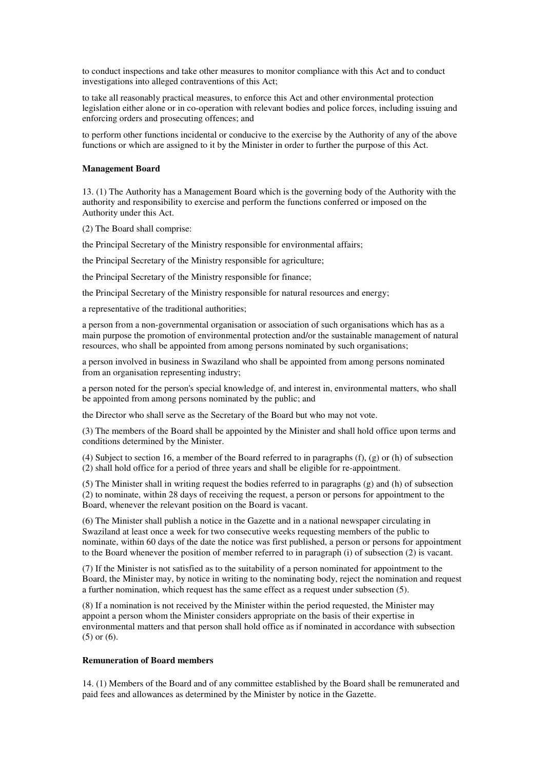to conduct inspections and take other measures to monitor compliance with this Act and to conduct investigations into alleged contraventions of this Act;

to take all reasonably practical measures, to enforce this Act and other environmental protection legislation either alone or in co-operation with relevant bodies and police forces, including issuing and enforcing orders and prosecuting offences; and

to perform other functions incidental or conducive to the exercise by the Authority of any of the above functions or which are assigned to it by the Minister in order to further the purpose of this Act.

#### **Management Board**

13. (1) The Authority has a Management Board which is the governing body of the Authority with the authority and responsibility to exercise and perform the functions conferred or imposed on the Authority under this Act.

(2) The Board shall comprise:

the Principal Secretary of the Ministry responsible for environmental affairs;

the Principal Secretary of the Ministry responsible for agriculture;

the Principal Secretary of the Ministry responsible for finance;

the Principal Secretary of the Ministry responsible for natural resources and energy;

a representative of the traditional authorities;

a person from a non-governmental organisation or association of such organisations which has as a main purpose the promotion of environmental protection and/or the sustainable management of natural resources, who shall be appointed from among persons nominated by such organisations;

a person involved in business in Swaziland who shall be appointed from among persons nominated from an organisation representing industry;

a person noted for the person's special knowledge of, and interest in, environmental matters, who shall be appointed from among persons nominated by the public; and

the Director who shall serve as the Secretary of the Board but who may not vote.

(3) The members of the Board shall be appointed by the Minister and shall hold office upon terms and conditions determined by the Minister.

(4) Subject to section 16, a member of the Board referred to in paragraphs (f), (g) or (h) of subsection (2) shall hold office for a period of three years and shall be eligible for re-appointment.

(5) The Minister shall in writing request the bodies referred to in paragraphs (g) and (h) of subsection (2) to nominate, within 28 days of receiving the request, a person or persons for appointment to the Board, whenever the relevant position on the Board is vacant.

(6) The Minister shall publish a notice in the Gazette and in a national newspaper circulating in Swaziland at least once a week for two consecutive weeks requesting members of the public to nominate, within 60 days of the date the notice was first published, a person or persons for appointment to the Board whenever the position of member referred to in paragraph (i) of subsection (2) is vacant.

(7) If the Minister is not satisfied as to the suitability of a person nominated for appointment to the Board, the Minister may, by notice in writing to the nominating body, reject the nomination and request a further nomination, which request has the same effect as a request under subsection (5).

(8) If a nomination is not received by the Minister within the period requested, the Minister may appoint a person whom the Minister considers appropriate on the basis of their expertise in environmental matters and that person shall hold office as if nominated in accordance with subsection (5) or (6).

#### **Remuneration of Board members**

14. (1) Members of the Board and of any committee established by the Board shall be remunerated and paid fees and allowances as determined by the Minister by notice in the Gazette.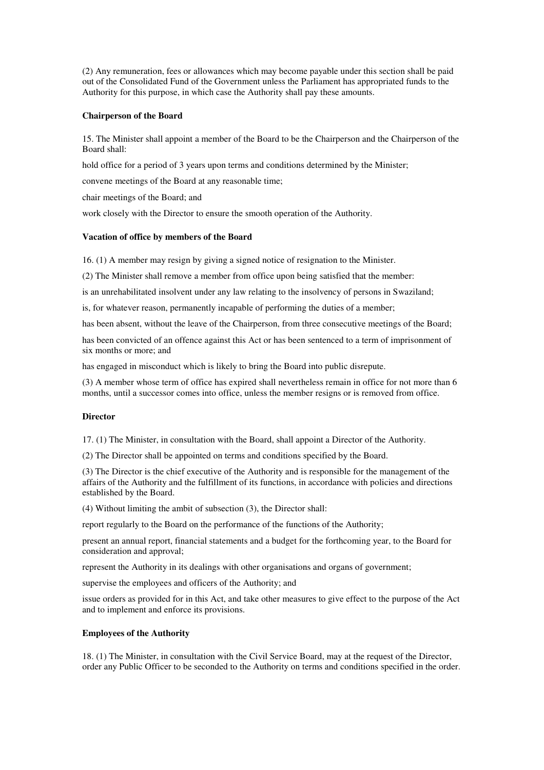(2) Any remuneration, fees or allowances which may become payable under this section shall be paid out of the Consolidated Fund of the Government unless the Parliament has appropriated funds to the Authority for this purpose, in which case the Authority shall pay these amounts.

### **Chairperson of the Board**

15. The Minister shall appoint a member of the Board to be the Chairperson and the Chairperson of the Board shall:

hold office for a period of 3 years upon terms and conditions determined by the Minister;

convene meetings of the Board at any reasonable time;

chair meetings of the Board; and

work closely with the Director to ensure the smooth operation of the Authority.

### **Vacation of office by members of the Board**

16. (1) A member may resign by giving a signed notice of resignation to the Minister.

(2) The Minister shall remove a member from office upon being satisfied that the member:

is an unrehabilitated insolvent under any law relating to the insolvency of persons in Swaziland;

is, for whatever reason, permanently incapable of performing the duties of a member;

has been absent, without the leave of the Chairperson, from three consecutive meetings of the Board;

has been convicted of an offence against this Act or has been sentenced to a term of imprisonment of six months or more; and

has engaged in misconduct which is likely to bring the Board into public disrepute.

(3) A member whose term of office has expired shall nevertheless remain in office for not more than 6 months, until a successor comes into office, unless the member resigns or is removed from office.

#### **Director**

17. (1) The Minister, in consultation with the Board, shall appoint a Director of the Authority.

(2) The Director shall be appointed on terms and conditions specified by the Board.

(3) The Director is the chief executive of the Authority and is responsible for the management of the affairs of the Authority and the fulfillment of its functions, in accordance with policies and directions established by the Board.

(4) Without limiting the ambit of subsection (3), the Director shall:

report regularly to the Board on the performance of the functions of the Authority;

present an annual report, financial statements and a budget for the forthcoming year, to the Board for consideration and approval;

represent the Authority in its dealings with other organisations and organs of government;

supervise the employees and officers of the Authority; and

issue orders as provided for in this Act, and take other measures to give effect to the purpose of the Act and to implement and enforce its provisions.

#### **Employees of the Authority**

18. (1) The Minister, in consultation with the Civil Service Board, may at the request of the Director, order any Public Officer to be seconded to the Authority on terms and conditions specified in the order.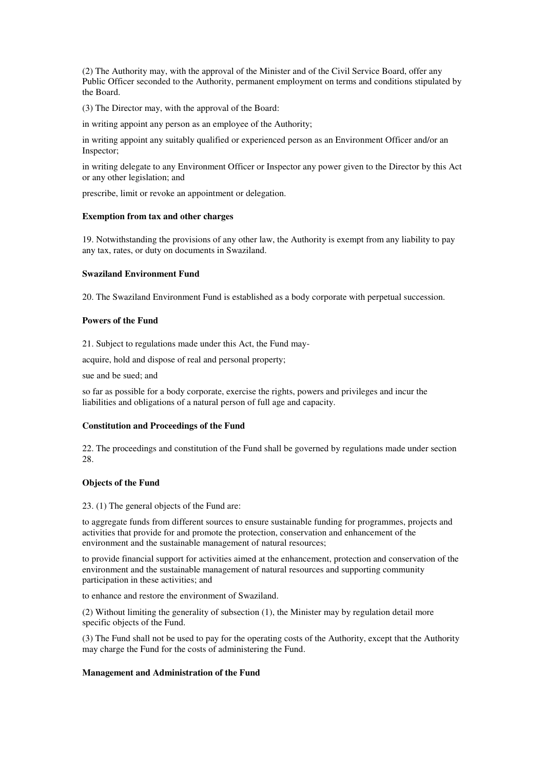(2) The Authority may, with the approval of the Minister and of the Civil Service Board, offer any Public Officer seconded to the Authority, permanent employment on terms and conditions stipulated by the Board.

(3) The Director may, with the approval of the Board:

in writing appoint any person as an employee of the Authority;

in writing appoint any suitably qualified or experienced person as an Environment Officer and/or an Inspector;

in writing delegate to any Environment Officer or Inspector any power given to the Director by this Act or any other legislation; and

prescribe, limit or revoke an appointment or delegation.

#### **Exemption from tax and other charges**

19. Notwithstanding the provisions of any other law, the Authority is exempt from any liability to pay any tax, rates, or duty on documents in Swaziland.

#### **Swaziland Environment Fund**

20. The Swaziland Environment Fund is established as a body corporate with perpetual succession.

#### **Powers of the Fund**

21. Subject to regulations made under this Act, the Fund may-

acquire, hold and dispose of real and personal property;

sue and be sued; and

so far as possible for a body corporate, exercise the rights, powers and privileges and incur the liabilities and obligations of a natural person of full age and capacity.

#### **Constitution and Proceedings of the Fund**

22. The proceedings and constitution of the Fund shall be governed by regulations made under section 28.

#### **Objects of the Fund**

23. (1) The general objects of the Fund are:

to aggregate funds from different sources to ensure sustainable funding for programmes, projects and activities that provide for and promote the protection, conservation and enhancement of the environment and the sustainable management of natural resources;

to provide financial support for activities aimed at the enhancement, protection and conservation of the environment and the sustainable management of natural resources and supporting community participation in these activities; and

to enhance and restore the environment of Swaziland.

(2) Without limiting the generality of subsection (1), the Minister may by regulation detail more specific objects of the Fund.

(3) The Fund shall not be used to pay for the operating costs of the Authority, except that the Authority may charge the Fund for the costs of administering the Fund.

#### **Management and Administration of the Fund**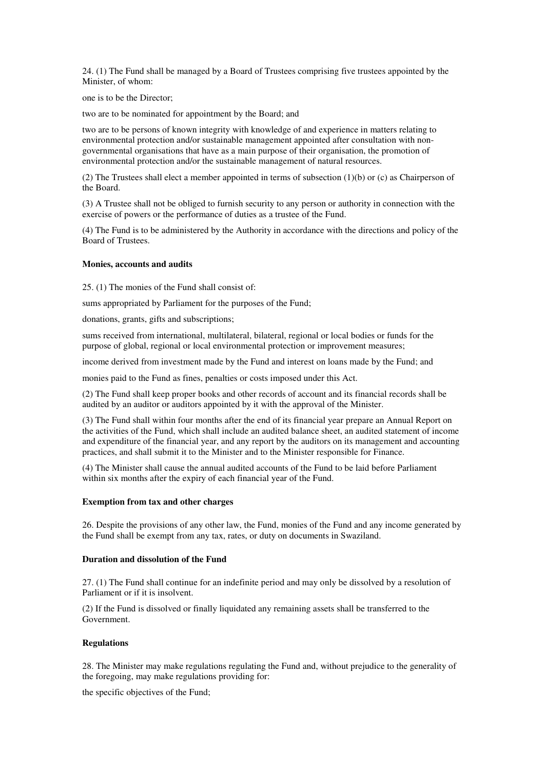24. (1) The Fund shall be managed by a Board of Trustees comprising five trustees appointed by the Minister, of whom:

one is to be the Director;

two are to be nominated for appointment by the Board; and

two are to be persons of known integrity with knowledge of and experience in matters relating to environmental protection and/or sustainable management appointed after consultation with nongovernmental organisations that have as a main purpose of their organisation, the promotion of environmental protection and/or the sustainable management of natural resources.

(2) The Trustees shall elect a member appointed in terms of subsection (1)(b) or (c) as Chairperson of the Board.

(3) A Trustee shall not be obliged to furnish security to any person or authority in connection with the exercise of powers or the performance of duties as a trustee of the Fund.

(4) The Fund is to be administered by the Authority in accordance with the directions and policy of the Board of Trustees.

### **Monies, accounts and audits**

25. (1) The monies of the Fund shall consist of:

sums appropriated by Parliament for the purposes of the Fund;

donations, grants, gifts and subscriptions;

sums received from international, multilateral, bilateral, regional or local bodies or funds for the purpose of global, regional or local environmental protection or improvement measures;

income derived from investment made by the Fund and interest on loans made by the Fund; and

monies paid to the Fund as fines, penalties or costs imposed under this Act.

(2) The Fund shall keep proper books and other records of account and its financial records shall be audited by an auditor or auditors appointed by it with the approval of the Minister.

(3) The Fund shall within four months after the end of its financial year prepare an Annual Report on the activities of the Fund, which shall include an audited balance sheet, an audited statement of income and expenditure of the financial year, and any report by the auditors on its management and accounting practices, and shall submit it to the Minister and to the Minister responsible for Finance.

(4) The Minister shall cause the annual audited accounts of the Fund to be laid before Parliament within six months after the expiry of each financial year of the Fund.

#### **Exemption from tax and other charges**

26. Despite the provisions of any other law, the Fund, monies of the Fund and any income generated by the Fund shall be exempt from any tax, rates, or duty on documents in Swaziland.

#### **Duration and dissolution of the Fund**

27. (1) The Fund shall continue for an indefinite period and may only be dissolved by a resolution of Parliament or if it is insolvent.

(2) If the Fund is dissolved or finally liquidated any remaining assets shall be transferred to the Government.

#### **Regulations**

28. The Minister may make regulations regulating the Fund and, without prejudice to the generality of the foregoing, may make regulations providing for:

the specific objectives of the Fund;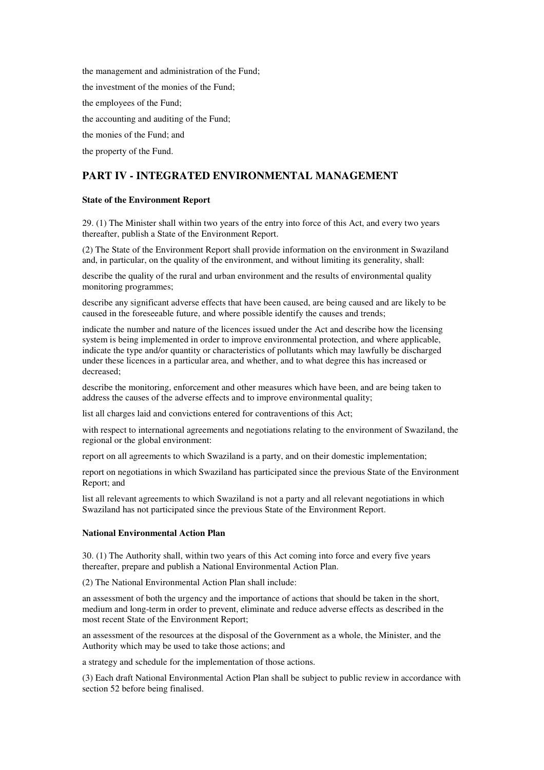the management and administration of the Fund; the investment of the monies of the Fund; the employees of the Fund; the accounting and auditing of the Fund; the monies of the Fund; and the property of the Fund.

# **PART IV - INTEGRATED ENVIRONMENTAL MANAGEMENT**

# **State of the Environment Report**

29. (1) The Minister shall within two years of the entry into force of this Act, and every two years thereafter, publish a State of the Environment Report.

(2) The State of the Environment Report shall provide information on the environment in Swaziland and, in particular, on the quality of the environment, and without limiting its generality, shall:

describe the quality of the rural and urban environment and the results of environmental quality monitoring programmes;

describe any significant adverse effects that have been caused, are being caused and are likely to be caused in the foreseeable future, and where possible identify the causes and trends;

indicate the number and nature of the licences issued under the Act and describe how the licensing system is being implemented in order to improve environmental protection, and where applicable, indicate the type and/or quantity or characteristics of pollutants which may lawfully be discharged under these licences in a particular area, and whether, and to what degree this has increased or decreased;

describe the monitoring, enforcement and other measures which have been, and are being taken to address the causes of the adverse effects and to improve environmental quality;

list all charges laid and convictions entered for contraventions of this Act;

with respect to international agreements and negotiations relating to the environment of Swaziland, the regional or the global environment:

report on all agreements to which Swaziland is a party, and on their domestic implementation;

report on negotiations in which Swaziland has participated since the previous State of the Environment Report; and

list all relevant agreements to which Swaziland is not a party and all relevant negotiations in which Swaziland has not participated since the previous State of the Environment Report.

#### **National Environmental Action Plan**

30. (1) The Authority shall, within two years of this Act coming into force and every five years thereafter, prepare and publish a National Environmental Action Plan.

(2) The National Environmental Action Plan shall include:

an assessment of both the urgency and the importance of actions that should be taken in the short, medium and long-term in order to prevent, eliminate and reduce adverse effects as described in the most recent State of the Environment Report;

an assessment of the resources at the disposal of the Government as a whole, the Minister, and the Authority which may be used to take those actions; and

a strategy and schedule for the implementation of those actions.

(3) Each draft National Environmental Action Plan shall be subject to public review in accordance with section 52 before being finalised.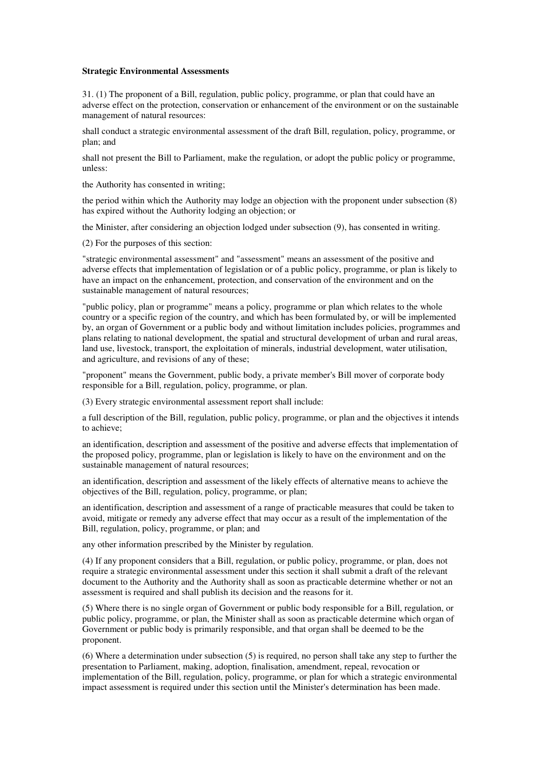#### **Strategic Environmental Assessments**

31. (1) The proponent of a Bill, regulation, public policy, programme, or plan that could have an adverse effect on the protection, conservation or enhancement of the environment or on the sustainable management of natural resources:

shall conduct a strategic environmental assessment of the draft Bill, regulation, policy, programme, or plan; and

shall not present the Bill to Parliament, make the regulation, or adopt the public policy or programme, unless:

the Authority has consented in writing;

the period within which the Authority may lodge an objection with the proponent under subsection (8) has expired without the Authority lodging an objection; or

the Minister, after considering an objection lodged under subsection (9), has consented in writing.

(2) For the purposes of this section:

"strategic environmental assessment" and "assessment" means an assessment of the positive and adverse effects that implementation of legislation or of a public policy, programme, or plan is likely to have an impact on the enhancement, protection, and conservation of the environment and on the sustainable management of natural resources;

"public policy, plan or programme" means a policy, programme or plan which relates to the whole country or a specific region of the country, and which has been formulated by, or will be implemented by, an organ of Government or a public body and without limitation includes policies, programmes and plans relating to national development, the spatial and structural development of urban and rural areas, land use, livestock, transport, the exploitation of minerals, industrial development, water utilisation, and agriculture, and revisions of any of these;

"proponent" means the Government, public body, a private member's Bill mover of corporate body responsible for a Bill, regulation, policy, programme, or plan.

(3) Every strategic environmental assessment report shall include:

a full description of the Bill, regulation, public policy, programme, or plan and the objectives it intends to achieve;

an identification, description and assessment of the positive and adverse effects that implementation of the proposed policy, programme, plan or legislation is likely to have on the environment and on the sustainable management of natural resources;

an identification, description and assessment of the likely effects of alternative means to achieve the objectives of the Bill, regulation, policy, programme, or plan;

an identification, description and assessment of a range of practicable measures that could be taken to avoid, mitigate or remedy any adverse effect that may occur as a result of the implementation of the Bill, regulation, policy, programme, or plan; and

any other information prescribed by the Minister by regulation.

(4) If any proponent considers that a Bill, regulation, or public policy, programme, or plan, does not require a strategic environmental assessment under this section it shall submit a draft of the relevant document to the Authority and the Authority shall as soon as practicable determine whether or not an assessment is required and shall publish its decision and the reasons for it.

(5) Where there is no single organ of Government or public body responsible for a Bill, regulation, or public policy, programme, or plan, the Minister shall as soon as practicable determine which organ of Government or public body is primarily responsible, and that organ shall be deemed to be the proponent.

(6) Where a determination under subsection (5) is required, no person shall take any step to further the presentation to Parliament, making, adoption, finalisation, amendment, repeal, revocation or implementation of the Bill, regulation, policy, programme, or plan for which a strategic environmental impact assessment is required under this section until the Minister's determination has been made.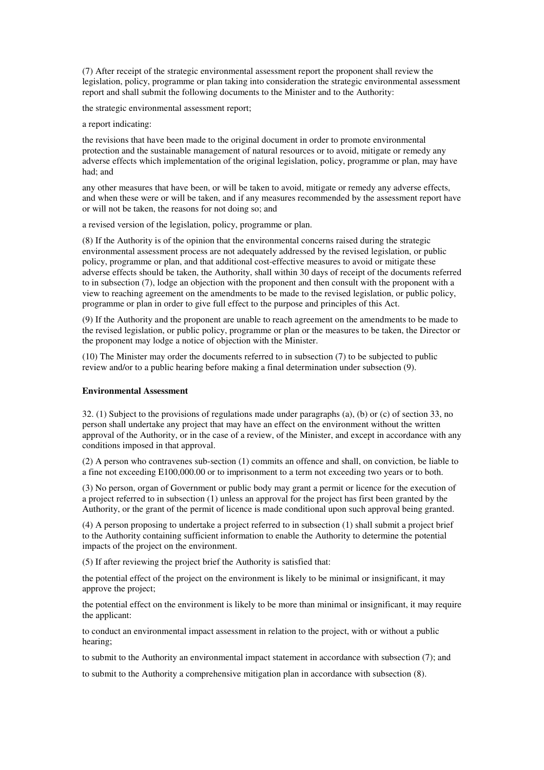(7) After receipt of the strategic environmental assessment report the proponent shall review the legislation, policy, programme or plan taking into consideration the strategic environmental assessment report and shall submit the following documents to the Minister and to the Authority:

the strategic environmental assessment report;

a report indicating:

the revisions that have been made to the original document in order to promote environmental protection and the sustainable management of natural resources or to avoid, mitigate or remedy any adverse effects which implementation of the original legislation, policy, programme or plan, may have had; and

any other measures that have been, or will be taken to avoid, mitigate or remedy any adverse effects, and when these were or will be taken, and if any measures recommended by the assessment report have or will not be taken, the reasons for not doing so; and

a revised version of the legislation, policy, programme or plan.

(8) If the Authority is of the opinion that the environmental concerns raised during the strategic environmental assessment process are not adequately addressed by the revised legislation, or public policy, programme or plan, and that additional cost-effective measures to avoid or mitigate these adverse effects should be taken, the Authority, shall within 30 days of receipt of the documents referred to in subsection (7), lodge an objection with the proponent and then consult with the proponent with a view to reaching agreement on the amendments to be made to the revised legislation, or public policy, programme or plan in order to give full effect to the purpose and principles of this Act.

(9) If the Authority and the proponent are unable to reach agreement on the amendments to be made to the revised legislation, or public policy, programme or plan or the measures to be taken, the Director or the proponent may lodge a notice of objection with the Minister.

(10) The Minister may order the documents referred to in subsection (7) to be subjected to public review and/or to a public hearing before making a final determination under subsection (9).

#### **Environmental Assessment**

32. (1) Subject to the provisions of regulations made under paragraphs (a), (b) or (c) of section 33, no person shall undertake any project that may have an effect on the environment without the written approval of the Authority, or in the case of a review, of the Minister, and except in accordance with any conditions imposed in that approval.

(2) A person who contravenes sub-section (1) commits an offence and shall, on conviction, be liable to a fine not exceeding E100,000.00 or to imprisonment to a term not exceeding two years or to both.

(3) No person, organ of Government or public body may grant a permit or licence for the execution of a project referred to in subsection (1) unless an approval for the project has first been granted by the Authority, or the grant of the permit of licence is made conditional upon such approval being granted.

(4) A person proposing to undertake a project referred to in subsection (1) shall submit a project brief to the Authority containing sufficient information to enable the Authority to determine the potential impacts of the project on the environment.

(5) If after reviewing the project brief the Authority is satisfied that:

the potential effect of the project on the environment is likely to be minimal or insignificant, it may approve the project;

the potential effect on the environment is likely to be more than minimal or insignificant, it may require the applicant:

to conduct an environmental impact assessment in relation to the project, with or without a public hearing;

to submit to the Authority an environmental impact statement in accordance with subsection (7); and

to submit to the Authority a comprehensive mitigation plan in accordance with subsection (8).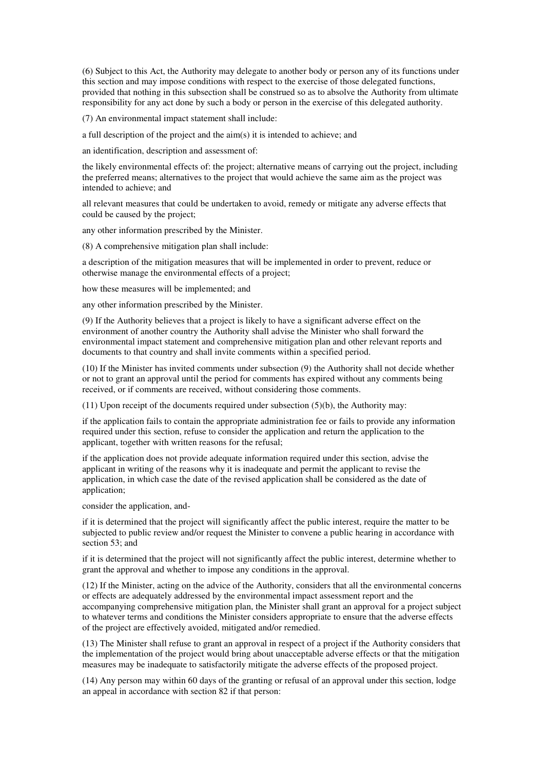(6) Subject to this Act, the Authority may delegate to another body or person any of its functions under this section and may impose conditions with respect to the exercise of those delegated functions, provided that nothing in this subsection shall be construed so as to absolve the Authority from ultimate responsibility for any act done by such a body or person in the exercise of this delegated authority.

(7) An environmental impact statement shall include:

a full description of the project and the aim(s) it is intended to achieve; and

an identification, description and assessment of:

the likely environmental effects of: the project; alternative means of carrying out the project, including the preferred means; alternatives to the project that would achieve the same aim as the project was intended to achieve; and

all relevant measures that could be undertaken to avoid, remedy or mitigate any adverse effects that could be caused by the project;

any other information prescribed by the Minister.

(8) A comprehensive mitigation plan shall include:

a description of the mitigation measures that will be implemented in order to prevent, reduce or otherwise manage the environmental effects of a project;

how these measures will be implemented; and

any other information prescribed by the Minister.

(9) If the Authority believes that a project is likely to have a significant adverse effect on the environment of another country the Authority shall advise the Minister who shall forward the environmental impact statement and comprehensive mitigation plan and other relevant reports and documents to that country and shall invite comments within a specified period.

(10) If the Minister has invited comments under subsection (9) the Authority shall not decide whether or not to grant an approval until the period for comments has expired without any comments being received, or if comments are received, without considering those comments.

(11) Upon receipt of the documents required under subsection (5)(b), the Authority may:

if the application fails to contain the appropriate administration fee or fails to provide any information required under this section, refuse to consider the application and return the application to the applicant, together with written reasons for the refusal;

if the application does not provide adequate information required under this section, advise the applicant in writing of the reasons why it is inadequate and permit the applicant to revise the application, in which case the date of the revised application shall be considered as the date of application;

consider the application, and-

if it is determined that the project will significantly affect the public interest, require the matter to be subjected to public review and/or request the Minister to convene a public hearing in accordance with section 53; and

if it is determined that the project will not significantly affect the public interest, determine whether to grant the approval and whether to impose any conditions in the approval.

(12) If the Minister, acting on the advice of the Authority, considers that all the environmental concerns or effects are adequately addressed by the environmental impact assessment report and the accompanying comprehensive mitigation plan, the Minister shall grant an approval for a project subject to whatever terms and conditions the Minister considers appropriate to ensure that the adverse effects of the project are effectively avoided, mitigated and/or remedied.

(13) The Minister shall refuse to grant an approval in respect of a project if the Authority considers that the implementation of the project would bring about unacceptable adverse effects or that the mitigation measures may be inadequate to satisfactorily mitigate the adverse effects of the proposed project.

(14) Any person may within 60 days of the granting or refusal of an approval under this section, lodge an appeal in accordance with section 82 if that person: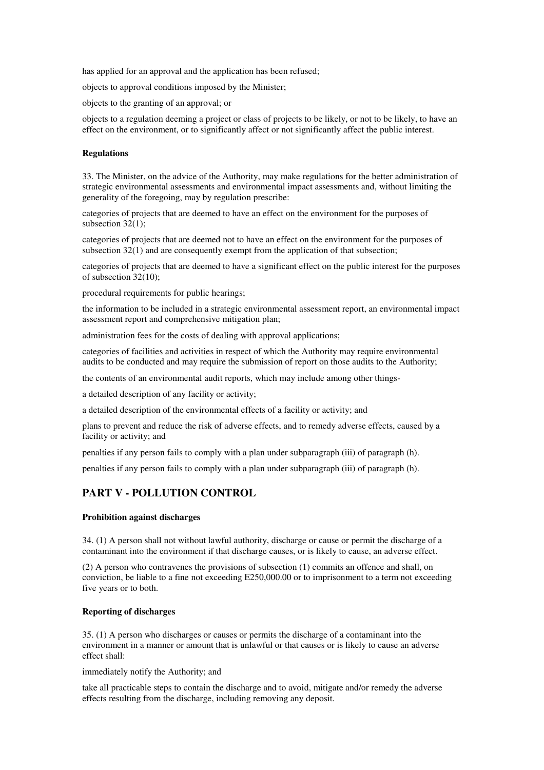has applied for an approval and the application has been refused;

objects to approval conditions imposed by the Minister;

objects to the granting of an approval; or

objects to a regulation deeming a project or class of projects to be likely, or not to be likely, to have an effect on the environment, or to significantly affect or not significantly affect the public interest.

#### **Regulations**

33. The Minister, on the advice of the Authority, may make regulations for the better administration of strategic environmental assessments and environmental impact assessments and, without limiting the generality of the foregoing, may by regulation prescribe:

categories of projects that are deemed to have an effect on the environment for the purposes of subsection 32(1);

categories of projects that are deemed not to have an effect on the environment for the purposes of subsection 32(1) and are consequently exempt from the application of that subsection;

categories of projects that are deemed to have a significant effect on the public interest for the purposes of subsection 32(10);

procedural requirements for public hearings;

the information to be included in a strategic environmental assessment report, an environmental impact assessment report and comprehensive mitigation plan;

administration fees for the costs of dealing with approval applications;

categories of facilities and activities in respect of which the Authority may require environmental audits to be conducted and may require the submission of report on those audits to the Authority;

the contents of an environmental audit reports, which may include among other things-

a detailed description of any facility or activity;

a detailed description of the environmental effects of a facility or activity; and

plans to prevent and reduce the risk of adverse effects, and to remedy adverse effects, caused by a facility or activity; and

penalties if any person fails to comply with a plan under subparagraph (iii) of paragraph (h).

penalties if any person fails to comply with a plan under subparagraph (iii) of paragraph (h).

# **PART V - POLLUTION CONTROL**

#### **Prohibition against discharges**

34. (1) A person shall not without lawful authority, discharge or cause or permit the discharge of a contaminant into the environment if that discharge causes, or is likely to cause, an adverse effect.

(2) A person who contravenes the provisions of subsection (1) commits an offence and shall, on conviction, be liable to a fine not exceeding E250,000.00 or to imprisonment to a term not exceeding five years or to both.

### **Reporting of discharges**

35. (1) A person who discharges or causes or permits the discharge of a contaminant into the environment in a manner or amount that is unlawful or that causes or is likely to cause an adverse effect shall:

immediately notify the Authority; and

take all practicable steps to contain the discharge and to avoid, mitigate and/or remedy the adverse effects resulting from the discharge, including removing any deposit.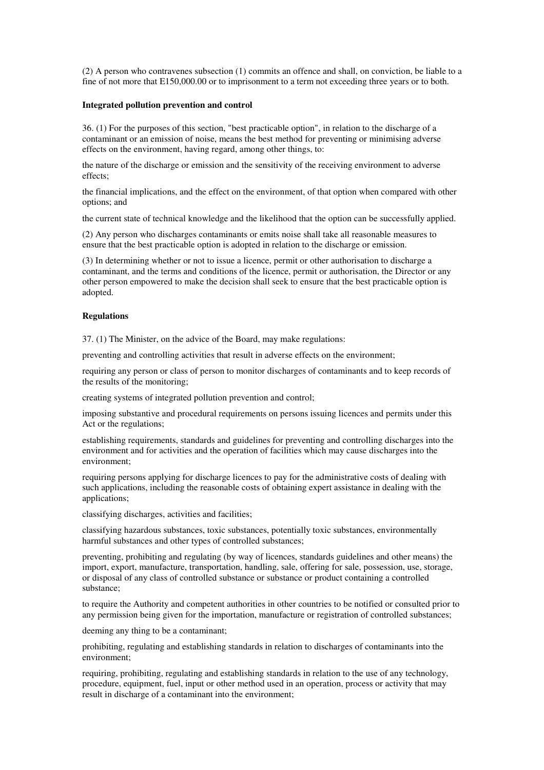(2) A person who contravenes subsection (1) commits an offence and shall, on conviction, be liable to a fine of not more that E150,000.00 or to imprisonment to a term not exceeding three years or to both.

#### **Integrated pollution prevention and control**

36. (1) For the purposes of this section, "best practicable option", in relation to the discharge of a contaminant or an emission of noise, means the best method for preventing or minimising adverse effects on the environment, having regard, among other things, to:

the nature of the discharge or emission and the sensitivity of the receiving environment to adverse effects;

the financial implications, and the effect on the environment, of that option when compared with other options; and

the current state of technical knowledge and the likelihood that the option can be successfully applied.

(2) Any person who discharges contaminants or emits noise shall take all reasonable measures to ensure that the best practicable option is adopted in relation to the discharge or emission.

(3) In determining whether or not to issue a licence, permit or other authorisation to discharge a contaminant, and the terms and conditions of the licence, permit or authorisation, the Director or any other person empowered to make the decision shall seek to ensure that the best practicable option is adopted.

### **Regulations**

37. (1) The Minister, on the advice of the Board, may make regulations:

preventing and controlling activities that result in adverse effects on the environment;

requiring any person or class of person to monitor discharges of contaminants and to keep records of the results of the monitoring;

creating systems of integrated pollution prevention and control;

imposing substantive and procedural requirements on persons issuing licences and permits under this Act or the regulations;

establishing requirements, standards and guidelines for preventing and controlling discharges into the environment and for activities and the operation of facilities which may cause discharges into the environment;

requiring persons applying for discharge licences to pay for the administrative costs of dealing with such applications, including the reasonable costs of obtaining expert assistance in dealing with the applications;

classifying discharges, activities and facilities;

classifying hazardous substances, toxic substances, potentially toxic substances, environmentally harmful substances and other types of controlled substances;

preventing, prohibiting and regulating (by way of licences, standards guidelines and other means) the import, export, manufacture, transportation, handling, sale, offering for sale, possession, use, storage, or disposal of any class of controlled substance or substance or product containing a controlled substance;

to require the Authority and competent authorities in other countries to be notified or consulted prior to any permission being given for the importation, manufacture or registration of controlled substances;

deeming any thing to be a contaminant;

prohibiting, regulating and establishing standards in relation to discharges of contaminants into the environment;

requiring, prohibiting, regulating and establishing standards in relation to the use of any technology, procedure, equipment, fuel, input or other method used in an operation, process or activity that may result in discharge of a contaminant into the environment;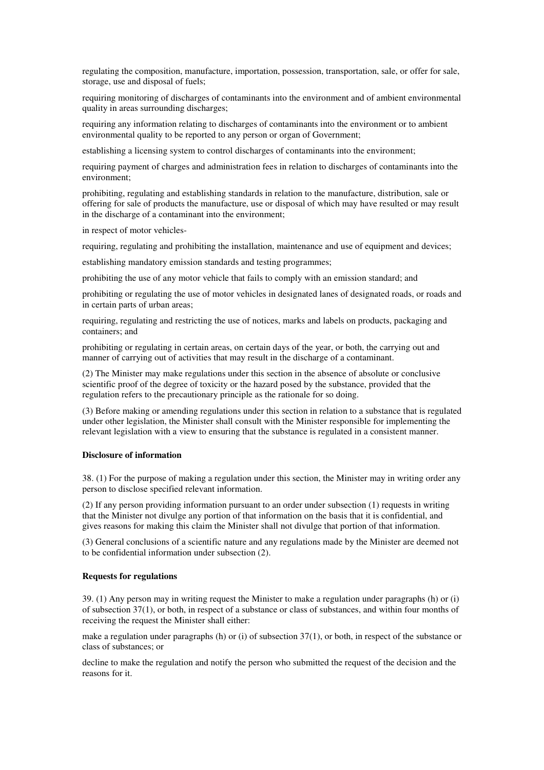regulating the composition, manufacture, importation, possession, transportation, sale, or offer for sale, storage, use and disposal of fuels;

requiring monitoring of discharges of contaminants into the environment and of ambient environmental quality in areas surrounding discharges;

requiring any information relating to discharges of contaminants into the environment or to ambient environmental quality to be reported to any person or organ of Government;

establishing a licensing system to control discharges of contaminants into the environment;

requiring payment of charges and administration fees in relation to discharges of contaminants into the environment;

prohibiting, regulating and establishing standards in relation to the manufacture, distribution, sale or offering for sale of products the manufacture, use or disposal of which may have resulted or may result in the discharge of a contaminant into the environment;

in respect of motor vehicles-

requiring, regulating and prohibiting the installation, maintenance and use of equipment and devices;

establishing mandatory emission standards and testing programmes;

prohibiting the use of any motor vehicle that fails to comply with an emission standard; and

prohibiting or regulating the use of motor vehicles in designated lanes of designated roads, or roads and in certain parts of urban areas;

requiring, regulating and restricting the use of notices, marks and labels on products, packaging and containers; and

prohibiting or regulating in certain areas, on certain days of the year, or both, the carrying out and manner of carrying out of activities that may result in the discharge of a contaminant.

(2) The Minister may make regulations under this section in the absence of absolute or conclusive scientific proof of the degree of toxicity or the hazard posed by the substance, provided that the regulation refers to the precautionary principle as the rationale for so doing.

(3) Before making or amending regulations under this section in relation to a substance that is regulated under other legislation, the Minister shall consult with the Minister responsible for implementing the relevant legislation with a view to ensuring that the substance is regulated in a consistent manner.

# **Disclosure of information**

38. (1) For the purpose of making a regulation under this section, the Minister may in writing order any person to disclose specified relevant information.

(2) If any person providing information pursuant to an order under subsection (1) requests in writing that the Minister not divulge any portion of that information on the basis that it is confidential, and gives reasons for making this claim the Minister shall not divulge that portion of that information.

(3) General conclusions of a scientific nature and any regulations made by the Minister are deemed not to be confidential information under subsection (2).

### **Requests for regulations**

39. (1) Any person may in writing request the Minister to make a regulation under paragraphs (h) or (i) of subsection 37(1), or both, in respect of a substance or class of substances, and within four months of receiving the request the Minister shall either:

make a regulation under paragraphs (h) or (i) of subsection 37(1), or both, in respect of the substance or class of substances; or

decline to make the regulation and notify the person who submitted the request of the decision and the reasons for it.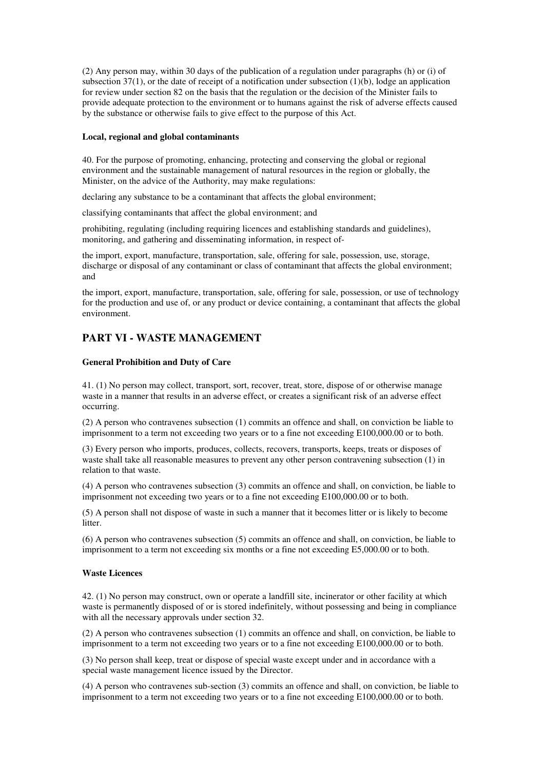(2) Any person may, within 30 days of the publication of a regulation under paragraphs (h) or (i) of subsection  $37(1)$ , or the date of receipt of a notification under subsection  $(1)(b)$ , lodge an application for review under section 82 on the basis that the regulation or the decision of the Minister fails to provide adequate protection to the environment or to humans against the risk of adverse effects caused by the substance or otherwise fails to give effect to the purpose of this Act.

#### **Local, regional and global contaminants**

40. For the purpose of promoting, enhancing, protecting and conserving the global or regional environment and the sustainable management of natural resources in the region or globally, the Minister, on the advice of the Authority, may make regulations:

declaring any substance to be a contaminant that affects the global environment;

classifying contaminants that affect the global environment; and

prohibiting, regulating (including requiring licences and establishing standards and guidelines), monitoring, and gathering and disseminating information, in respect of-

the import, export, manufacture, transportation, sale, offering for sale, possession, use, storage, discharge or disposal of any contaminant or class of contaminant that affects the global environment; and

the import, export, manufacture, transportation, sale, offering for sale, possession, or use of technology for the production and use of, or any product or device containing, a contaminant that affects the global environment.

# **PART VI - WASTE MANAGEMENT**

#### **General Prohibition and Duty of Care**

41. (1) No person may collect, transport, sort, recover, treat, store, dispose of or otherwise manage waste in a manner that results in an adverse effect, or creates a significant risk of an adverse effect occurring.

(2) A person who contravenes subsection (1) commits an offence and shall, on conviction be liable to imprisonment to a term not exceeding two years or to a fine not exceeding E100,000.00 or to both.

(3) Every person who imports, produces, collects, recovers, transports, keeps, treats or disposes of waste shall take all reasonable measures to prevent any other person contravening subsection (1) in relation to that waste.

(4) A person who contravenes subsection (3) commits an offence and shall, on conviction, be liable to imprisonment not exceeding two years or to a fine not exceeding E100,000.00 or to both.

(5) A person shall not dispose of waste in such a manner that it becomes litter or is likely to become **litter** 

(6) A person who contravenes subsection (5) commits an offence and shall, on conviction, be liable to imprisonment to a term not exceeding six months or a fine not exceeding E5,000.00 or to both.

# **Waste Licences**

42. (1) No person may construct, own or operate a landfill site, incinerator or other facility at which waste is permanently disposed of or is stored indefinitely, without possessing and being in compliance with all the necessary approvals under section 32.

(2) A person who contravenes subsection (1) commits an offence and shall, on conviction, be liable to imprisonment to a term not exceeding two years or to a fine not exceeding E100,000.00 or to both.

(3) No person shall keep, treat or dispose of special waste except under and in accordance with a special waste management licence issued by the Director.

(4) A person who contravenes sub-section (3) commits an offence and shall, on conviction, be liable to imprisonment to a term not exceeding two years or to a fine not exceeding E100,000.00 or to both.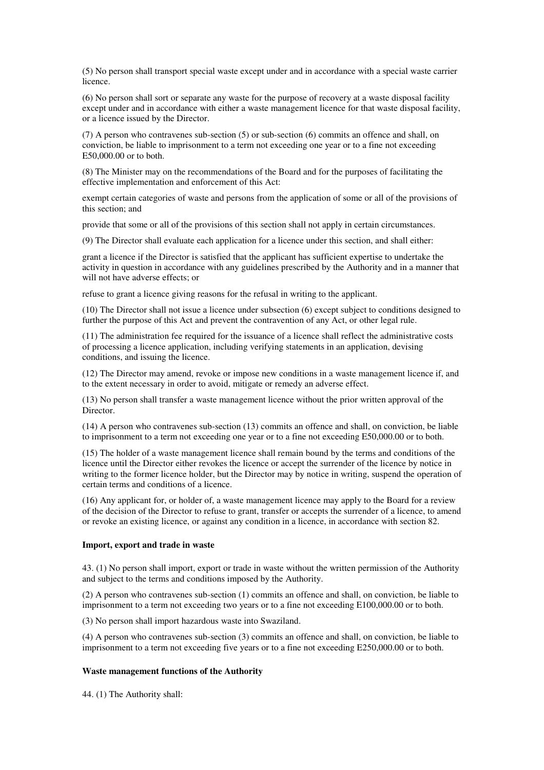(5) No person shall transport special waste except under and in accordance with a special waste carrier licence.

(6) No person shall sort or separate any waste for the purpose of recovery at a waste disposal facility except under and in accordance with either a waste management licence for that waste disposal facility, or a licence issued by the Director.

(7) A person who contravenes sub-section (5) or sub-section (6) commits an offence and shall, on conviction, be liable to imprisonment to a term not exceeding one year or to a fine not exceeding E50,000.00 or to both.

(8) The Minister may on the recommendations of the Board and for the purposes of facilitating the effective implementation and enforcement of this Act:

exempt certain categories of waste and persons from the application of some or all of the provisions of this section; and

provide that some or all of the provisions of this section shall not apply in certain circumstances.

(9) The Director shall evaluate each application for a licence under this section, and shall either:

grant a licence if the Director is satisfied that the applicant has sufficient expertise to undertake the activity in question in accordance with any guidelines prescribed by the Authority and in a manner that will not have adverse effects; or

refuse to grant a licence giving reasons for the refusal in writing to the applicant.

(10) The Director shall not issue a licence under subsection (6) except subject to conditions designed to further the purpose of this Act and prevent the contravention of any Act, or other legal rule.

(11) The administration fee required for the issuance of a licence shall reflect the administrative costs of processing a licence application, including verifying statements in an application, devising conditions, and issuing the licence.

(12) The Director may amend, revoke or impose new conditions in a waste management licence if, and to the extent necessary in order to avoid, mitigate or remedy an adverse effect.

(13) No person shall transfer a waste management licence without the prior written approval of the Director.

(14) A person who contravenes sub-section (13) commits an offence and shall, on conviction, be liable to imprisonment to a term not exceeding one year or to a fine not exceeding E50,000.00 or to both.

(15) The holder of a waste management licence shall remain bound by the terms and conditions of the licence until the Director either revokes the licence or accept the surrender of the licence by notice in writing to the former licence holder, but the Director may by notice in writing, suspend the operation of certain terms and conditions of a licence.

(16) Any applicant for, or holder of, a waste management licence may apply to the Board for a review of the decision of the Director to refuse to grant, transfer or accepts the surrender of a licence, to amend or revoke an existing licence, or against any condition in a licence, in accordance with section 82.

#### **Import, export and trade in waste**

43. (1) No person shall import, export or trade in waste without the written permission of the Authority and subject to the terms and conditions imposed by the Authority.

(2) A person who contravenes sub-section (1) commits an offence and shall, on conviction, be liable to imprisonment to a term not exceeding two years or to a fine not exceeding E100,000.00 or to both.

(3) No person shall import hazardous waste into Swaziland.

(4) A person who contravenes sub-section (3) commits an offence and shall, on conviction, be liable to imprisonment to a term not exceeding five years or to a fine not exceeding E250,000.00 or to both.

#### **Waste management functions of the Authority**

44. (1) The Authority shall: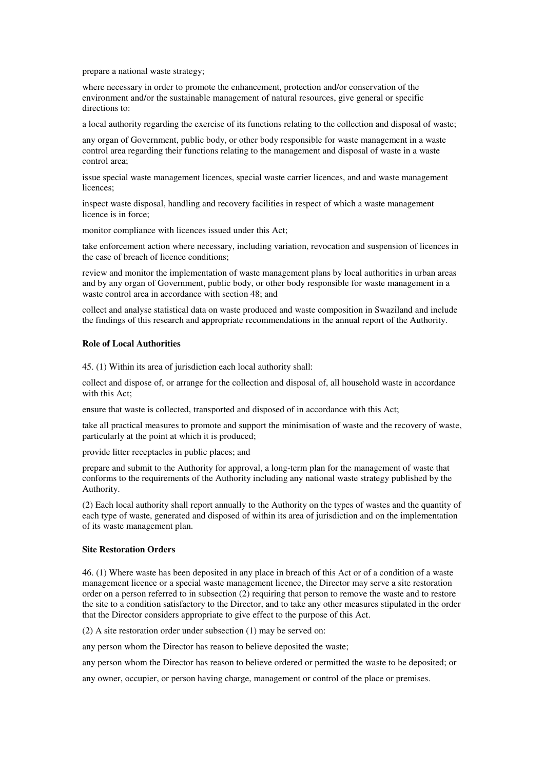prepare a national waste strategy;

where necessary in order to promote the enhancement, protection and/or conservation of the environment and/or the sustainable management of natural resources, give general or specific directions to:

a local authority regarding the exercise of its functions relating to the collection and disposal of waste;

any organ of Government, public body, or other body responsible for waste management in a waste control area regarding their functions relating to the management and disposal of waste in a waste control area;

issue special waste management licences, special waste carrier licences, and and waste management licences;

inspect waste disposal, handling and recovery facilities in respect of which a waste management licence is in force;

monitor compliance with licences issued under this Act;

take enforcement action where necessary, including variation, revocation and suspension of licences in the case of breach of licence conditions;

review and monitor the implementation of waste management plans by local authorities in urban areas and by any organ of Government, public body, or other body responsible for waste management in a waste control area in accordance with section 48; and

collect and analyse statistical data on waste produced and waste composition in Swaziland and include the findings of this research and appropriate recommendations in the annual report of the Authority.

#### **Role of Local Authorities**

45. (1) Within its area of jurisdiction each local authority shall:

collect and dispose of, or arrange for the collection and disposal of, all household waste in accordance with this Act;

ensure that waste is collected, transported and disposed of in accordance with this Act;

take all practical measures to promote and support the minimisation of waste and the recovery of waste, particularly at the point at which it is produced;

provide litter receptacles in public places; and

prepare and submit to the Authority for approval, a long-term plan for the management of waste that conforms to the requirements of the Authority including any national waste strategy published by the Authority.

(2) Each local authority shall report annually to the Authority on the types of wastes and the quantity of each type of waste, generated and disposed of within its area of jurisdiction and on the implementation of its waste management plan.

### **Site Restoration Orders**

46. (1) Where waste has been deposited in any place in breach of this Act or of a condition of a waste management licence or a special waste management licence, the Director may serve a site restoration order on a person referred to in subsection (2) requiring that person to remove the waste and to restore the site to a condition satisfactory to the Director, and to take any other measures stipulated in the order that the Director considers appropriate to give effect to the purpose of this Act.

(2) A site restoration order under subsection (1) may be served on:

any person whom the Director has reason to believe deposited the waste;

any person whom the Director has reason to believe ordered or permitted the waste to be deposited; or

any owner, occupier, or person having charge, management or control of the place or premises.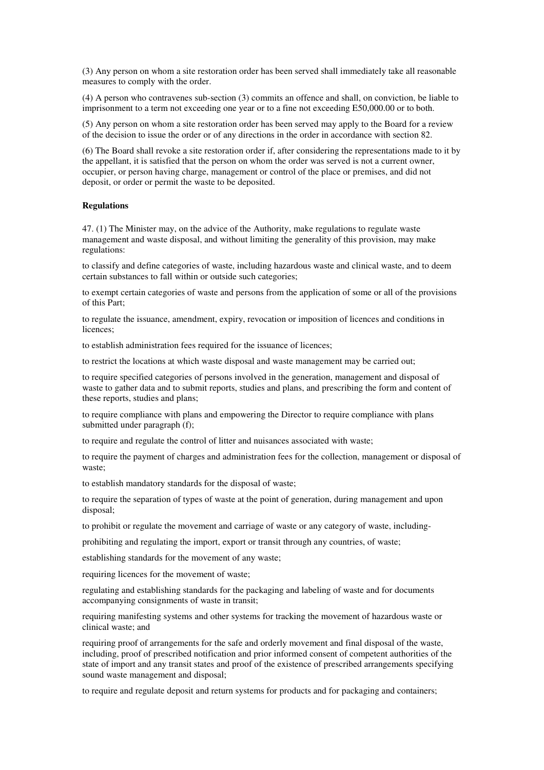(3) Any person on whom a site restoration order has been served shall immediately take all reasonable measures to comply with the order.

(4) A person who contravenes sub-section (3) commits an offence and shall, on conviction, be liable to imprisonment to a term not exceeding one year or to a fine not exceeding E50,000.00 or to both.

(5) Any person on whom a site restoration order has been served may apply to the Board for a review of the decision to issue the order or of any directions in the order in accordance with section 82.

(6) The Board shall revoke a site restoration order if, after considering the representations made to it by the appellant, it is satisfied that the person on whom the order was served is not a current owner, occupier, or person having charge, management or control of the place or premises, and did not deposit, or order or permit the waste to be deposited.

### **Regulations**

47. (1) The Minister may, on the advice of the Authority, make regulations to regulate waste management and waste disposal, and without limiting the generality of this provision, may make regulations:

to classify and define categories of waste, including hazardous waste and clinical waste, and to deem certain substances to fall within or outside such categories;

to exempt certain categories of waste and persons from the application of some or all of the provisions of this Part;

to regulate the issuance, amendment, expiry, revocation or imposition of licences and conditions in licences;

to establish administration fees required for the issuance of licences;

to restrict the locations at which waste disposal and waste management may be carried out;

to require specified categories of persons involved in the generation, management and disposal of waste to gather data and to submit reports, studies and plans, and prescribing the form and content of these reports, studies and plans;

to require compliance with plans and empowering the Director to require compliance with plans submitted under paragraph (f);

to require and regulate the control of litter and nuisances associated with waste;

to require the payment of charges and administration fees for the collection, management or disposal of waste;

to establish mandatory standards for the disposal of waste;

to require the separation of types of waste at the point of generation, during management and upon disposal;

to prohibit or regulate the movement and carriage of waste or any category of waste, including-

prohibiting and regulating the import, export or transit through any countries, of waste;

establishing standards for the movement of any waste;

requiring licences for the movement of waste;

regulating and establishing standards for the packaging and labeling of waste and for documents accompanying consignments of waste in transit;

requiring manifesting systems and other systems for tracking the movement of hazardous waste or clinical waste; and

requiring proof of arrangements for the safe and orderly movement and final disposal of the waste, including, proof of prescribed notification and prior informed consent of competent authorities of the state of import and any transit states and proof of the existence of prescribed arrangements specifying sound waste management and disposal;

to require and regulate deposit and return systems for products and for packaging and containers;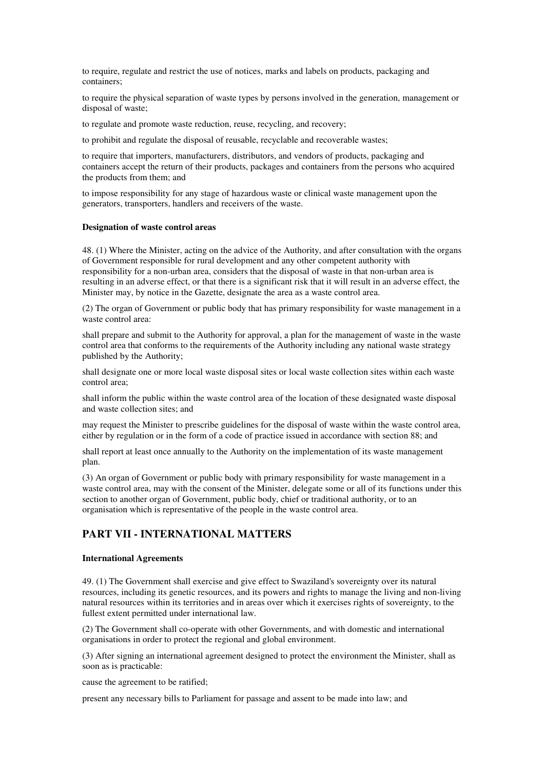to require, regulate and restrict the use of notices, marks and labels on products, packaging and containers;

to require the physical separation of waste types by persons involved in the generation, management or disposal of waste;

to regulate and promote waste reduction, reuse, recycling, and recovery;

to prohibit and regulate the disposal of reusable, recyclable and recoverable wastes;

to require that importers, manufacturers, distributors, and vendors of products, packaging and containers accept the return of their products, packages and containers from the persons who acquired the products from them; and

to impose responsibility for any stage of hazardous waste or clinical waste management upon the generators, transporters, handlers and receivers of the waste.

#### **Designation of waste control areas**

48. (1) Where the Minister, acting on the advice of the Authority, and after consultation with the organs of Government responsible for rural development and any other competent authority with responsibility for a non-urban area, considers that the disposal of waste in that non-urban area is resulting in an adverse effect, or that there is a significant risk that it will result in an adverse effect, the Minister may, by notice in the Gazette, designate the area as a waste control area.

(2) The organ of Government or public body that has primary responsibility for waste management in a waste control area:

shall prepare and submit to the Authority for approval, a plan for the management of waste in the waste control area that conforms to the requirements of the Authority including any national waste strategy published by the Authority;

shall designate one or more local waste disposal sites or local waste collection sites within each waste control area;

shall inform the public within the waste control area of the location of these designated waste disposal and waste collection sites; and

may request the Minister to prescribe guidelines for the disposal of waste within the waste control area, either by regulation or in the form of a code of practice issued in accordance with section 88; and

shall report at least once annually to the Authority on the implementation of its waste management plan.

(3) An organ of Government or public body with primary responsibility for waste management in a waste control area, may with the consent of the Minister, delegate some or all of its functions under this section to another organ of Government, public body, chief or traditional authority, or to an organisation which is representative of the people in the waste control area.

# **PART VII - INTERNATIONAL MATTERS**

#### **International Agreements**

49. (1) The Government shall exercise and give effect to Swaziland's sovereignty over its natural resources, including its genetic resources, and its powers and rights to manage the living and non-living natural resources within its territories and in areas over which it exercises rights of sovereignty, to the fullest extent permitted under international law.

(2) The Government shall co-operate with other Governments, and with domestic and international organisations in order to protect the regional and global environment.

(3) After signing an international agreement designed to protect the environment the Minister, shall as soon as is practicable:

cause the agreement to be ratified;

present any necessary bills to Parliament for passage and assent to be made into law; and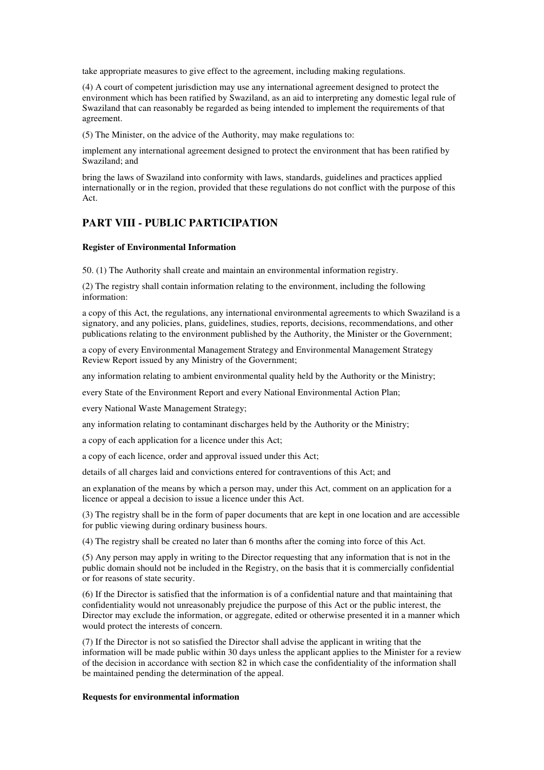take appropriate measures to give effect to the agreement, including making regulations.

(4) A court of competent jurisdiction may use any international agreement designed to protect the environment which has been ratified by Swaziland, as an aid to interpreting any domestic legal rule of Swaziland that can reasonably be regarded as being intended to implement the requirements of that agreement.

(5) The Minister, on the advice of the Authority, may make regulations to:

implement any international agreement designed to protect the environment that has been ratified by Swaziland; and

bring the laws of Swaziland into conformity with laws, standards, guidelines and practices applied internationally or in the region, provided that these regulations do not conflict with the purpose of this Act.

# **PART VIII - PUBLIC PARTICIPATION**

#### **Register of Environmental Information**

50. (1) The Authority shall create and maintain an environmental information registry.

(2) The registry shall contain information relating to the environment, including the following information:

a copy of this Act, the regulations, any international environmental agreements to which Swaziland is a signatory, and any policies, plans, guidelines, studies, reports, decisions, recommendations, and other publications relating to the environment published by the Authority, the Minister or the Government;

a copy of every Environmental Management Strategy and Environmental Management Strategy Review Report issued by any Ministry of the Government;

any information relating to ambient environmental quality held by the Authority or the Ministry;

every State of the Environment Report and every National Environmental Action Plan;

every National Waste Management Strategy;

any information relating to contaminant discharges held by the Authority or the Ministry;

a copy of each application for a licence under this Act;

a copy of each licence, order and approval issued under this Act;

details of all charges laid and convictions entered for contraventions of this Act; and

an explanation of the means by which a person may, under this Act, comment on an application for a licence or appeal a decision to issue a licence under this Act.

(3) The registry shall be in the form of paper documents that are kept in one location and are accessible for public viewing during ordinary business hours.

(4) The registry shall be created no later than 6 months after the coming into force of this Act.

(5) Any person may apply in writing to the Director requesting that any information that is not in the public domain should not be included in the Registry, on the basis that it is commercially confidential or for reasons of state security.

(6) If the Director is satisfied that the information is of a confidential nature and that maintaining that confidentiality would not unreasonably prejudice the purpose of this Act or the public interest, the Director may exclude the information, or aggregate, edited or otherwise presented it in a manner which would protect the interests of concern.

(7) If the Director is not so satisfied the Director shall advise the applicant in writing that the information will be made public within 30 days unless the applicant applies to the Minister for a review of the decision in accordance with section 82 in which case the confidentiality of the information shall be maintained pending the determination of the appeal.

#### **Requests for environmental information**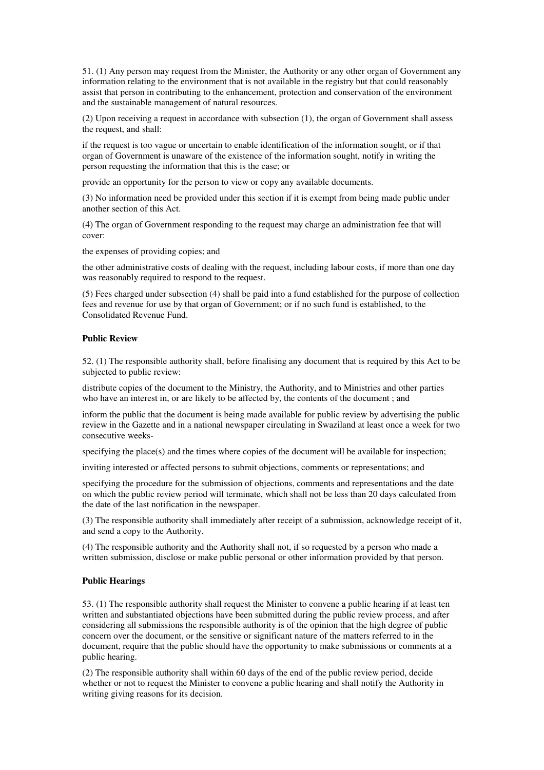51. (1) Any person may request from the Minister, the Authority or any other organ of Government any information relating to the environment that is not available in the registry but that could reasonably assist that person in contributing to the enhancement, protection and conservation of the environment and the sustainable management of natural resources.

(2) Upon receiving a request in accordance with subsection (1), the organ of Government shall assess the request, and shall:

if the request is too vague or uncertain to enable identification of the information sought, or if that organ of Government is unaware of the existence of the information sought, notify in writing the person requesting the information that this is the case; or

provide an opportunity for the person to view or copy any available documents.

(3) No information need be provided under this section if it is exempt from being made public under another section of this Act.

(4) The organ of Government responding to the request may charge an administration fee that will cover:

the expenses of providing copies; and

the other administrative costs of dealing with the request, including labour costs, if more than one day was reasonably required to respond to the request.

(5) Fees charged under subsection (4) shall be paid into a fund established for the purpose of collection fees and revenue for use by that organ of Government; or if no such fund is established, to the Consolidated Revenue Fund.

### **Public Review**

52. (1) The responsible authority shall, before finalising any document that is required by this Act to be subjected to public review:

distribute copies of the document to the Ministry, the Authority, and to Ministries and other parties who have an interest in, or are likely to be affected by, the contents of the document ; and

inform the public that the document is being made available for public review by advertising the public review in the Gazette and in a national newspaper circulating in Swaziland at least once a week for two consecutive weeks-

specifying the place(s) and the times where copies of the document will be available for inspection;

inviting interested or affected persons to submit objections, comments or representations; and

specifying the procedure for the submission of objections, comments and representations and the date on which the public review period will terminate, which shall not be less than 20 days calculated from the date of the last notification in the newspaper.

(3) The responsible authority shall immediately after receipt of a submission, acknowledge receipt of it, and send a copy to the Authority.

(4) The responsible authority and the Authority shall not, if so requested by a person who made a written submission, disclose or make public personal or other information provided by that person.

#### **Public Hearings**

53. (1) The responsible authority shall request the Minister to convene a public hearing if at least ten written and substantiated objections have been submitted during the public review process, and after considering all submissions the responsible authority is of the opinion that the high degree of public concern over the document, or the sensitive or significant nature of the matters referred to in the document, require that the public should have the opportunity to make submissions or comments at a public hearing.

(2) The responsible authority shall within 60 days of the end of the public review period, decide whether or not to request the Minister to convene a public hearing and shall notify the Authority in writing giving reasons for its decision.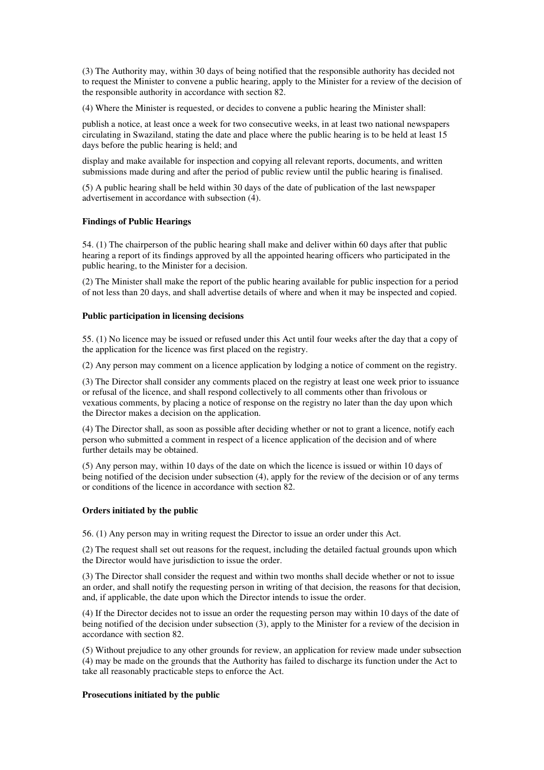(3) The Authority may, within 30 days of being notified that the responsible authority has decided not to request the Minister to convene a public hearing, apply to the Minister for a review of the decision of the responsible authority in accordance with section 82.

(4) Where the Minister is requested, or decides to convene a public hearing the Minister shall:

publish a notice, at least once a week for two consecutive weeks, in at least two national newspapers circulating in Swaziland, stating the date and place where the public hearing is to be held at least 15 days before the public hearing is held; and

display and make available for inspection and copying all relevant reports, documents, and written submissions made during and after the period of public review until the public hearing is finalised.

(5) A public hearing shall be held within 30 days of the date of publication of the last newspaper advertisement in accordance with subsection (4).

#### **Findings of Public Hearings**

54. (1) The chairperson of the public hearing shall make and deliver within 60 days after that public hearing a report of its findings approved by all the appointed hearing officers who participated in the public hearing, to the Minister for a decision.

(2) The Minister shall make the report of the public hearing available for public inspection for a period of not less than 20 days, and shall advertise details of where and when it may be inspected and copied.

### **Public participation in licensing decisions**

55. (1) No licence may be issued or refused under this Act until four weeks after the day that a copy of the application for the licence was first placed on the registry.

(2) Any person may comment on a licence application by lodging a notice of comment on the registry.

(3) The Director shall consider any comments placed on the registry at least one week prior to issuance or refusal of the licence, and shall respond collectively to all comments other than frivolous or vexatious comments, by placing a notice of response on the registry no later than the day upon which the Director makes a decision on the application.

(4) The Director shall, as soon as possible after deciding whether or not to grant a licence, notify each person who submitted a comment in respect of a licence application of the decision and of where further details may be obtained.

(5) Any person may, within 10 days of the date on which the licence is issued or within 10 days of being notified of the decision under subsection (4), apply for the review of the decision or of any terms or conditions of the licence in accordance with section 82.

#### **Orders initiated by the public**

56. (1) Any person may in writing request the Director to issue an order under this Act.

(2) The request shall set out reasons for the request, including the detailed factual grounds upon which the Director would have jurisdiction to issue the order.

(3) The Director shall consider the request and within two months shall decide whether or not to issue an order, and shall notify the requesting person in writing of that decision, the reasons for that decision, and, if applicable, the date upon which the Director intends to issue the order.

(4) If the Director decides not to issue an order the requesting person may within 10 days of the date of being notified of the decision under subsection (3), apply to the Minister for a review of the decision in accordance with section 82.

(5) Without prejudice to any other grounds for review, an application for review made under subsection (4) may be made on the grounds that the Authority has failed to discharge its function under the Act to take all reasonably practicable steps to enforce the Act.

#### **Prosecutions initiated by the public**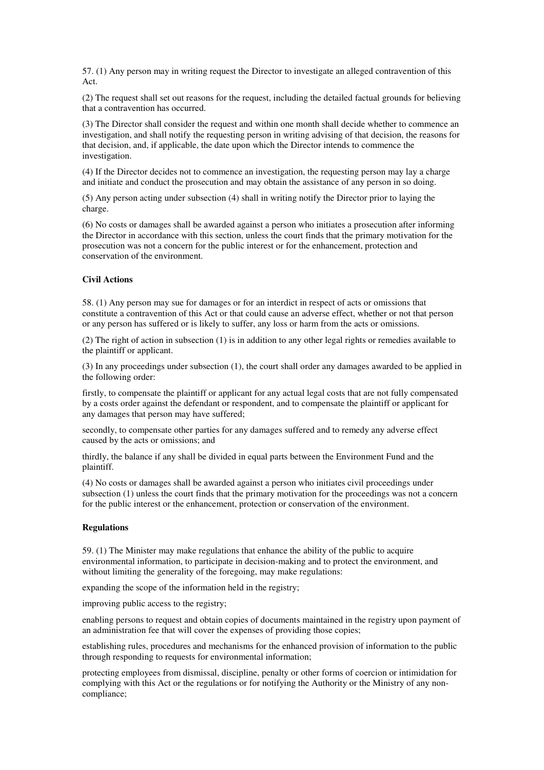57. (1) Any person may in writing request the Director to investigate an alleged contravention of this Act.

(2) The request shall set out reasons for the request, including the detailed factual grounds for believing that a contravention has occurred.

(3) The Director shall consider the request and within one month shall decide whether to commence an investigation, and shall notify the requesting person in writing advising of that decision, the reasons for that decision, and, if applicable, the date upon which the Director intends to commence the investigation.

(4) If the Director decides not to commence an investigation, the requesting person may lay a charge and initiate and conduct the prosecution and may obtain the assistance of any person in so doing.

(5) Any person acting under subsection (4) shall in writing notify the Director prior to laying the charge.

(6) No costs or damages shall be awarded against a person who initiates a prosecution after informing the Director in accordance with this section, unless the court finds that the primary motivation for the prosecution was not a concern for the public interest or for the enhancement, protection and conservation of the environment.

### **Civil Actions**

58. (1) Any person may sue for damages or for an interdict in respect of acts or omissions that constitute a contravention of this Act or that could cause an adverse effect, whether or not that person or any person has suffered or is likely to suffer, any loss or harm from the acts or omissions.

(2) The right of action in subsection (1) is in addition to any other legal rights or remedies available to the plaintiff or applicant.

(3) In any proceedings under subsection (1), the court shall order any damages awarded to be applied in the following order:

firstly, to compensate the plaintiff or applicant for any actual legal costs that are not fully compensated by a costs order against the defendant or respondent, and to compensate the plaintiff or applicant for any damages that person may have suffered;

secondly, to compensate other parties for any damages suffered and to remedy any adverse effect caused by the acts or omissions; and

thirdly, the balance if any shall be divided in equal parts between the Environment Fund and the plaintiff.

(4) No costs or damages shall be awarded against a person who initiates civil proceedings under subsection (1) unless the court finds that the primary motivation for the proceedings was not a concern for the public interest or the enhancement, protection or conservation of the environment.

#### **Regulations**

59. (1) The Minister may make regulations that enhance the ability of the public to acquire environmental information, to participate in decision-making and to protect the environment, and without limiting the generality of the foregoing, may make regulations:

expanding the scope of the information held in the registry;

improving public access to the registry;

enabling persons to request and obtain copies of documents maintained in the registry upon payment of an administration fee that will cover the expenses of providing those copies;

establishing rules, procedures and mechanisms for the enhanced provision of information to the public through responding to requests for environmental information;

protecting employees from dismissal, discipline, penalty or other forms of coercion or intimidation for complying with this Act or the regulations or for notifying the Authority or the Ministry of any noncompliance;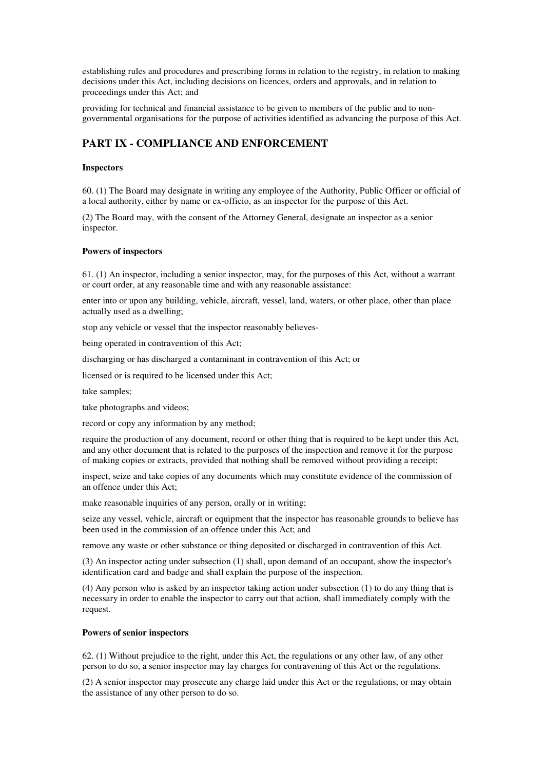establishing rules and procedures and prescribing forms in relation to the registry, in relation to making decisions under this Act, including decisions on licences, orders and approvals, and in relation to proceedings under this Act; and

providing for technical and financial assistance to be given to members of the public and to nongovernmental organisations for the purpose of activities identified as advancing the purpose of this Act.

# **PART IX - COMPLIANCE AND ENFORCEMENT**

#### **Inspectors**

60. (1) The Board may designate in writing any employee of the Authority, Public Officer or official of a local authority, either by name or ex-officio, as an inspector for the purpose of this Act.

(2) The Board may, with the consent of the Attorney General, designate an inspector as a senior inspector.

#### **Powers of inspectors**

61. (1) An inspector, including a senior inspector, may, for the purposes of this Act, without a warrant or court order, at any reasonable time and with any reasonable assistance:

enter into or upon any building, vehicle, aircraft, vessel, land, waters, or other place, other than place actually used as a dwelling;

stop any vehicle or vessel that the inspector reasonably believes-

being operated in contravention of this Act;

discharging or has discharged a contaminant in contravention of this Act; or

licensed or is required to be licensed under this Act;

take samples;

take photographs and videos;

record or copy any information by any method;

require the production of any document, record or other thing that is required to be kept under this Act, and any other document that is related to the purposes of the inspection and remove it for the purpose of making copies or extracts, provided that nothing shall be removed without providing a receipt;

inspect, seize and take copies of any documents which may constitute evidence of the commission of an offence under this Act;

make reasonable inquiries of any person, orally or in writing;

seize any vessel, vehicle, aircraft or equipment that the inspector has reasonable grounds to believe has been used in the commission of an offence under this Act; and

remove any waste or other substance or thing deposited or discharged in contravention of this Act.

(3) An inspector acting under subsection (1) shall, upon demand of an occupant, show the inspector's identification card and badge and shall explain the purpose of the inspection.

(4) Any person who is asked by an inspector taking action under subsection (1) to do any thing that is necessary in order to enable the inspector to carry out that action, shall immediately comply with the request.

#### **Powers of senior inspectors**

62. (1) Without prejudice to the right, under this Act, the regulations or any other law, of any other person to do so, a senior inspector may lay charges for contravening of this Act or the regulations.

(2) A senior inspector may prosecute any charge laid under this Act or the regulations, or may obtain the assistance of any other person to do so.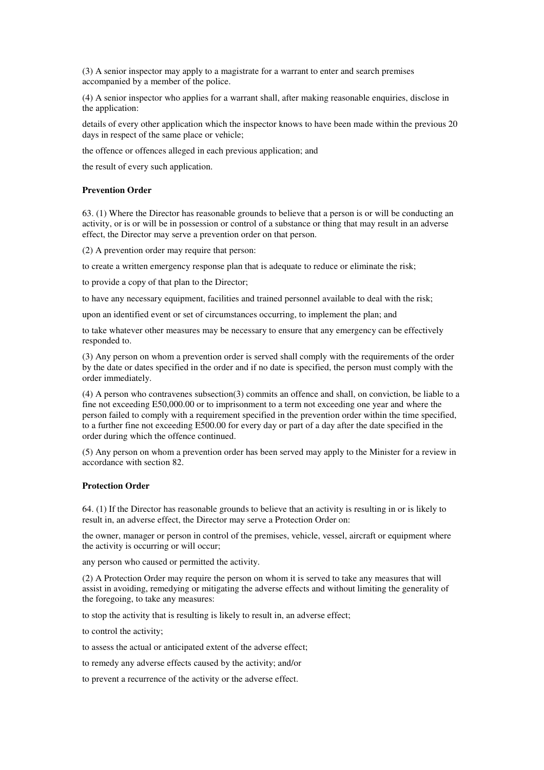(3) A senior inspector may apply to a magistrate for a warrant to enter and search premises accompanied by a member of the police.

(4) A senior inspector who applies for a warrant shall, after making reasonable enquiries, disclose in the application:

details of every other application which the inspector knows to have been made within the previous 20 days in respect of the same place or vehicle;

the offence or offences alleged in each previous application; and

the result of every such application.

### **Prevention Order**

63. (1) Where the Director has reasonable grounds to believe that a person is or will be conducting an activity, or is or will be in possession or control of a substance or thing that may result in an adverse effect, the Director may serve a prevention order on that person.

(2) A prevention order may require that person:

to create a written emergency response plan that is adequate to reduce or eliminate the risk;

to provide a copy of that plan to the Director;

to have any necessary equipment, facilities and trained personnel available to deal with the risk;

upon an identified event or set of circumstances occurring, to implement the plan; and

to take whatever other measures may be necessary to ensure that any emergency can be effectively responded to.

(3) Any person on whom a prevention order is served shall comply with the requirements of the order by the date or dates specified in the order and if no date is specified, the person must comply with the order immediately.

(4) A person who contravenes subsection(3) commits an offence and shall, on conviction, be liable to a fine not exceeding E50,000.00 or to imprisonment to a term not exceeding one year and where the person failed to comply with a requirement specified in the prevention order within the time specified, to a further fine not exceeding E500.00 for every day or part of a day after the date specified in the order during which the offence continued.

(5) Any person on whom a prevention order has been served may apply to the Minister for a review in accordance with section 82.

#### **Protection Order**

64. (1) If the Director has reasonable grounds to believe that an activity is resulting in or is likely to result in, an adverse effect, the Director may serve a Protection Order on:

the owner, manager or person in control of the premises, vehicle, vessel, aircraft or equipment where the activity is occurring or will occur;

any person who caused or permitted the activity.

(2) A Protection Order may require the person on whom it is served to take any measures that will assist in avoiding, remedying or mitigating the adverse effects and without limiting the generality of the foregoing, to take any measures:

to stop the activity that is resulting is likely to result in, an adverse effect;

to control the activity;

to assess the actual or anticipated extent of the adverse effect;

to remedy any adverse effects caused by the activity; and/or

to prevent a recurrence of the activity or the adverse effect.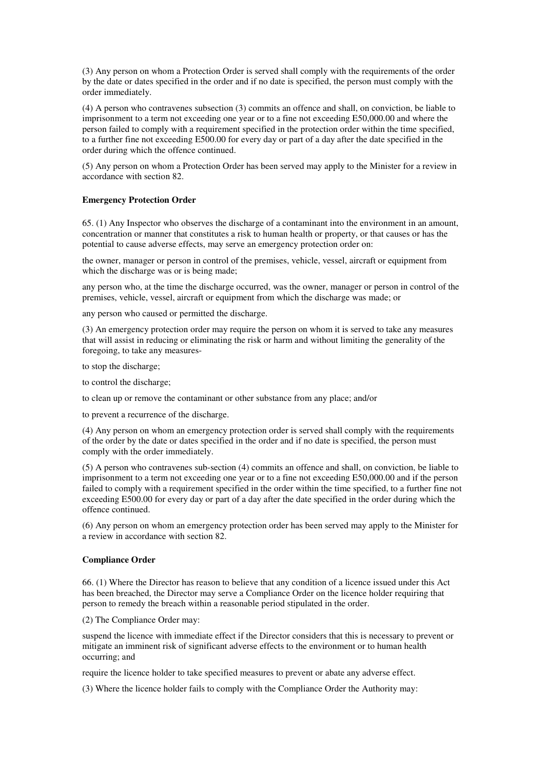(3) Any person on whom a Protection Order is served shall comply with the requirements of the order by the date or dates specified in the order and if no date is specified, the person must comply with the order immediately.

(4) A person who contravenes subsection (3) commits an offence and shall, on conviction, be liable to imprisonment to a term not exceeding one year or to a fine not exceeding E50,000.00 and where the person failed to comply with a requirement specified in the protection order within the time specified, to a further fine not exceeding E500.00 for every day or part of a day after the date specified in the order during which the offence continued.

(5) Any person on whom a Protection Order has been served may apply to the Minister for a review in accordance with section 82.

#### **Emergency Protection Order**

65. (1) Any Inspector who observes the discharge of a contaminant into the environment in an amount, concentration or manner that constitutes a risk to human health or property, or that causes or has the potential to cause adverse effects, may serve an emergency protection order on:

the owner, manager or person in control of the premises, vehicle, vessel, aircraft or equipment from which the discharge was or is being made;

any person who, at the time the discharge occurred, was the owner, manager or person in control of the premises, vehicle, vessel, aircraft or equipment from which the discharge was made; or

any person who caused or permitted the discharge.

(3) An emergency protection order may require the person on whom it is served to take any measures that will assist in reducing or eliminating the risk or harm and without limiting the generality of the foregoing, to take any measures-

to stop the discharge;

to control the discharge;

to clean up or remove the contaminant or other substance from any place; and/or

to prevent a recurrence of the discharge.

(4) Any person on whom an emergency protection order is served shall comply with the requirements of the order by the date or dates specified in the order and if no date is specified, the person must comply with the order immediately.

(5) A person who contravenes sub-section (4) commits an offence and shall, on conviction, be liable to imprisonment to a term not exceeding one year or to a fine not exceeding E50,000.00 and if the person failed to comply with a requirement specified in the order within the time specified, to a further fine not exceeding E500.00 for every day or part of a day after the date specified in the order during which the offence continued.

(6) Any person on whom an emergency protection order has been served may apply to the Minister for a review in accordance with section 82.

#### **Compliance Order**

66. (1) Where the Director has reason to believe that any condition of a licence issued under this Act has been breached, the Director may serve a Compliance Order on the licence holder requiring that person to remedy the breach within a reasonable period stipulated in the order.

(2) The Compliance Order may:

suspend the licence with immediate effect if the Director considers that this is necessary to prevent or mitigate an imminent risk of significant adverse effects to the environment or to human health occurring; and

require the licence holder to take specified measures to prevent or abate any adverse effect.

(3) Where the licence holder fails to comply with the Compliance Order the Authority may: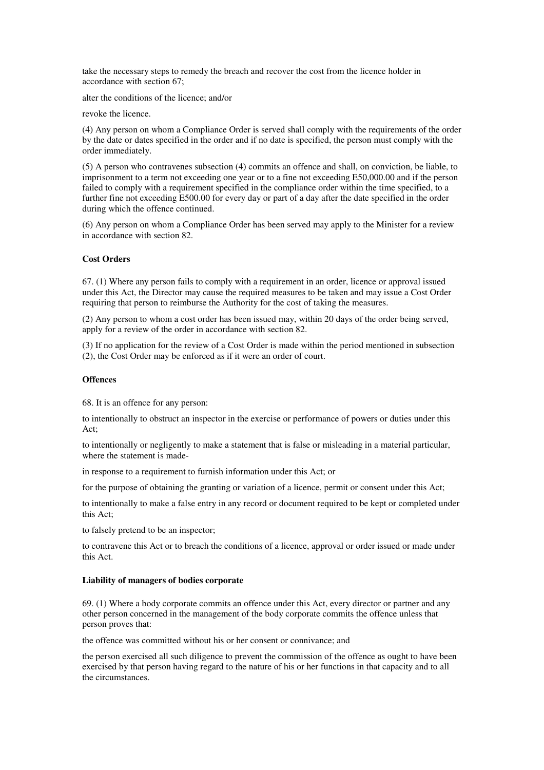take the necessary steps to remedy the breach and recover the cost from the licence holder in accordance with section 67;

alter the conditions of the licence; and/or

revoke the licence.

(4) Any person on whom a Compliance Order is served shall comply with the requirements of the order by the date or dates specified in the order and if no date is specified, the person must comply with the order immediately.

(5) A person who contravenes subsection (4) commits an offence and shall, on conviction, be liable, to imprisonment to a term not exceeding one year or to a fine not exceeding E50,000.00 and if the person failed to comply with a requirement specified in the compliance order within the time specified, to a further fine not exceeding E500.00 for every day or part of a day after the date specified in the order during which the offence continued.

(6) Any person on whom a Compliance Order has been served may apply to the Minister for a review in accordance with section 82.

### **Cost Orders**

67. (1) Where any person fails to comply with a requirement in an order, licence or approval issued under this Act, the Director may cause the required measures to be taken and may issue a Cost Order requiring that person to reimburse the Authority for the cost of taking the measures.

(2) Any person to whom a cost order has been issued may, within 20 days of the order being served, apply for a review of the order in accordance with section 82.

(3) If no application for the review of a Cost Order is made within the period mentioned in subsection (2), the Cost Order may be enforced as if it were an order of court.

#### **Offences**

68. It is an offence for any person:

to intentionally to obstruct an inspector in the exercise or performance of powers or duties under this Act;

to intentionally or negligently to make a statement that is false or misleading in a material particular, where the statement is made-

in response to a requirement to furnish information under this Act; or

for the purpose of obtaining the granting or variation of a licence, permit or consent under this Act;

to intentionally to make a false entry in any record or document required to be kept or completed under this Act;

to falsely pretend to be an inspector;

to contravene this Act or to breach the conditions of a licence, approval or order issued or made under this Act.

#### **Liability of managers of bodies corporate**

69. (1) Where a body corporate commits an offence under this Act, every director or partner and any other person concerned in the management of the body corporate commits the offence unless that person proves that:

the offence was committed without his or her consent or connivance; and

the person exercised all such diligence to prevent the commission of the offence as ought to have been exercised by that person having regard to the nature of his or her functions in that capacity and to all the circumstances.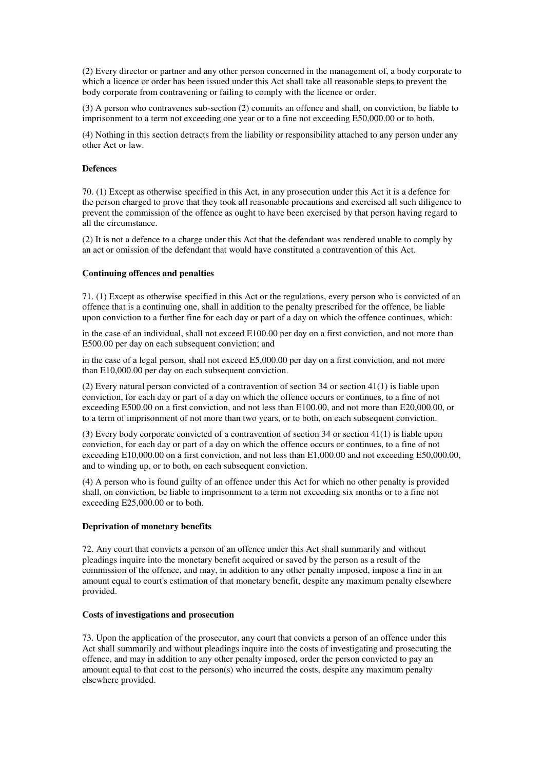(2) Every director or partner and any other person concerned in the management of, a body corporate to which a licence or order has been issued under this Act shall take all reasonable steps to prevent the body corporate from contravening or failing to comply with the licence or order.

(3) A person who contravenes sub-section (2) commits an offence and shall, on conviction, be liable to imprisonment to a term not exceeding one year or to a fine not exceeding E50,000.00 or to both.

(4) Nothing in this section detracts from the liability or responsibility attached to any person under any other Act or law.

# **Defences**

70. (1) Except as otherwise specified in this Act, in any prosecution under this Act it is a defence for the person charged to prove that they took all reasonable precautions and exercised all such diligence to prevent the commission of the offence as ought to have been exercised by that person having regard to all the circumstance.

(2) It is not a defence to a charge under this Act that the defendant was rendered unable to comply by an act or omission of the defendant that would have constituted a contravention of this Act.

#### **Continuing offences and penalties**

71. (1) Except as otherwise specified in this Act or the regulations, every person who is convicted of an offence that is a continuing one, shall in addition to the penalty prescribed for the offence, be liable upon conviction to a further fine for each day or part of a day on which the offence continues, which:

in the case of an individual, shall not exceed E100.00 per day on a first conviction, and not more than E500.00 per day on each subsequent conviction; and

in the case of a legal person, shall not exceed E5,000.00 per day on a first conviction, and not more than E10,000.00 per day on each subsequent conviction.

(2) Every natural person convicted of a contravention of section 34 or section 41(1) is liable upon conviction, for each day or part of a day on which the offence occurs or continues, to a fine of not exceeding E500.00 on a first conviction, and not less than E100.00, and not more than E20,000.00, or to a term of imprisonment of not more than two years, or to both, on each subsequent conviction.

(3) Every body corporate convicted of a contravention of section 34 or section 41(1) is liable upon conviction, for each day or part of a day on which the offence occurs or continues, to a fine of not exceeding E10,000.00 on a first conviction, and not less than E1,000.00 and not exceeding E50,000.00, and to winding up, or to both, on each subsequent conviction.

(4) A person who is found guilty of an offence under this Act for which no other penalty is provided shall, on conviction, be liable to imprisonment to a term not exceeding six months or to a fine not exceeding E25,000.00 or to both.

### **Deprivation of monetary benefits**

72. Any court that convicts a person of an offence under this Act shall summarily and without pleadings inquire into the monetary benefit acquired or saved by the person as a result of the commission of the offence, and may, in addition to any other penalty imposed, impose a fine in an amount equal to court's estimation of that monetary benefit, despite any maximum penalty elsewhere provided.

#### **Costs of investigations and prosecution**

73. Upon the application of the prosecutor, any court that convicts a person of an offence under this Act shall summarily and without pleadings inquire into the costs of investigating and prosecuting the offence, and may in addition to any other penalty imposed, order the person convicted to pay an amount equal to that cost to the person(s) who incurred the costs, despite any maximum penalty elsewhere provided.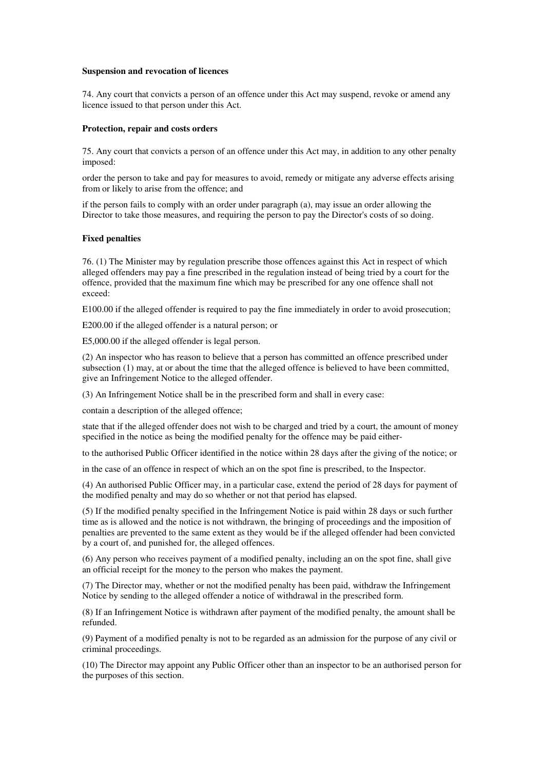#### **Suspension and revocation of licences**

74. Any court that convicts a person of an offence under this Act may suspend, revoke or amend any licence issued to that person under this Act.

#### **Protection, repair and costs orders**

75. Any court that convicts a person of an offence under this Act may, in addition to any other penalty imposed:

order the person to take and pay for measures to avoid, remedy or mitigate any adverse effects arising from or likely to arise from the offence; and

if the person fails to comply with an order under paragraph (a), may issue an order allowing the Director to take those measures, and requiring the person to pay the Director's costs of so doing.

#### **Fixed penalties**

76. (1) The Minister may by regulation prescribe those offences against this Act in respect of which alleged offenders may pay a fine prescribed in the regulation instead of being tried by a court for the offence, provided that the maximum fine which may be prescribed for any one offence shall not exceed:

E100.00 if the alleged offender is required to pay the fine immediately in order to avoid prosecution;

E200.00 if the alleged offender is a natural person; or

E5,000.00 if the alleged offender is legal person.

(2) An inspector who has reason to believe that a person has committed an offence prescribed under subsection (1) may, at or about the time that the alleged offence is believed to have been committed, give an Infringement Notice to the alleged offender.

(3) An Infringement Notice shall be in the prescribed form and shall in every case:

contain a description of the alleged offence;

state that if the alleged offender does not wish to be charged and tried by a court, the amount of money specified in the notice as being the modified penalty for the offence may be paid either-

to the authorised Public Officer identified in the notice within 28 days after the giving of the notice; or

in the case of an offence in respect of which an on the spot fine is prescribed, to the Inspector.

(4) An authorised Public Officer may, in a particular case, extend the period of 28 days for payment of the modified penalty and may do so whether or not that period has elapsed.

(5) If the modified penalty specified in the Infringement Notice is paid within 28 days or such further time as is allowed and the notice is not withdrawn, the bringing of proceedings and the imposition of penalties are prevented to the same extent as they would be if the alleged offender had been convicted by a court of, and punished for, the alleged offences.

(6) Any person who receives payment of a modified penalty, including an on the spot fine, shall give an official receipt for the money to the person who makes the payment.

(7) The Director may, whether or not the modified penalty has been paid, withdraw the Infringement Notice by sending to the alleged offender a notice of withdrawal in the prescribed form.

(8) If an Infringement Notice is withdrawn after payment of the modified penalty, the amount shall be refunded.

(9) Payment of a modified penalty is not to be regarded as an admission for the purpose of any civil or criminal proceedings.

(10) The Director may appoint any Public Officer other than an inspector to be an authorised person for the purposes of this section.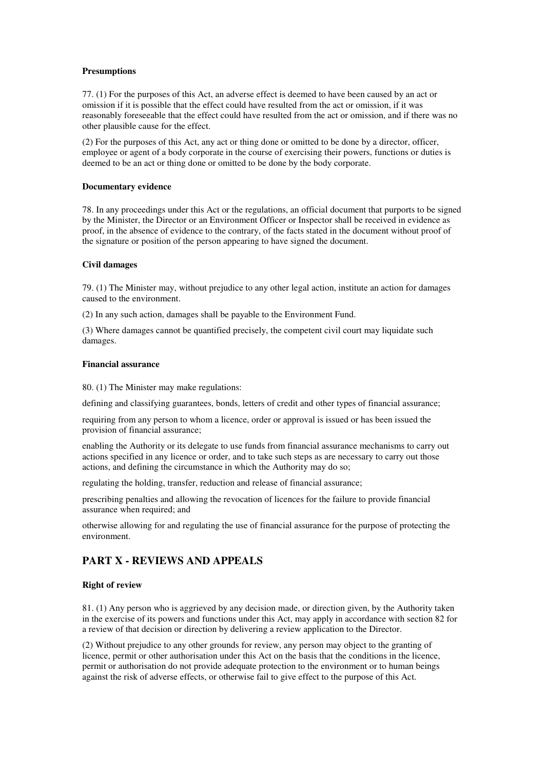### **Presumptions**

77. (1) For the purposes of this Act, an adverse effect is deemed to have been caused by an act or omission if it is possible that the effect could have resulted from the act or omission, if it was reasonably foreseeable that the effect could have resulted from the act or omission, and if there was no other plausible cause for the effect.

(2) For the purposes of this Act, any act or thing done or omitted to be done by a director, officer, employee or agent of a body corporate in the course of exercising their powers, functions or duties is deemed to be an act or thing done or omitted to be done by the body corporate.

#### **Documentary evidence**

78. In any proceedings under this Act or the regulations, an official document that purports to be signed by the Minister, the Director or an Environment Officer or Inspector shall be received in evidence as proof, in the absence of evidence to the contrary, of the facts stated in the document without proof of the signature or position of the person appearing to have signed the document.

### **Civil damages**

79. (1) The Minister may, without prejudice to any other legal action, institute an action for damages caused to the environment.

(2) In any such action, damages shall be payable to the Environment Fund.

(3) Where damages cannot be quantified precisely, the competent civil court may liquidate such damages.

#### **Financial assurance**

80. (1) The Minister may make regulations:

defining and classifying guarantees, bonds, letters of credit and other types of financial assurance;

requiring from any person to whom a licence, order or approval is issued or has been issued the provision of financial assurance;

enabling the Authority or its delegate to use funds from financial assurance mechanisms to carry out actions specified in any licence or order, and to take such steps as are necessary to carry out those actions, and defining the circumstance in which the Authority may do so;

regulating the holding, transfer, reduction and release of financial assurance;

prescribing penalties and allowing the revocation of licences for the failure to provide financial assurance when required; and

otherwise allowing for and regulating the use of financial assurance for the purpose of protecting the environment.

# **PART X - REVIEWS AND APPEALS**

### **Right of review**

81. (1) Any person who is aggrieved by any decision made, or direction given, by the Authority taken in the exercise of its powers and functions under this Act, may apply in accordance with section 82 for a review of that decision or direction by delivering a review application to the Director.

(2) Without prejudice to any other grounds for review, any person may object to the granting of licence, permit or other authorisation under this Act on the basis that the conditions in the licence, permit or authorisation do not provide adequate protection to the environment or to human beings against the risk of adverse effects, or otherwise fail to give effect to the purpose of this Act.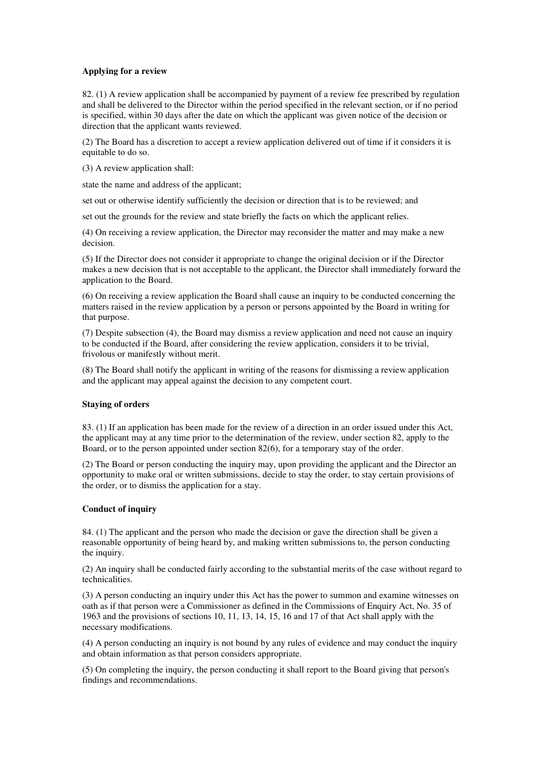#### **Applying for a review**

82. (1) A review application shall be accompanied by payment of a review fee prescribed by regulation and shall be delivered to the Director within the period specified in the relevant section, or if no period is specified, within 30 days after the date on which the applicant was given notice of the decision or direction that the applicant wants reviewed.

(2) The Board has a discretion to accept a review application delivered out of time if it considers it is equitable to do so.

(3) A review application shall:

state the name and address of the applicant;

set out or otherwise identify sufficiently the decision or direction that is to be reviewed; and

set out the grounds for the review and state briefly the facts on which the applicant relies.

(4) On receiving a review application, the Director may reconsider the matter and may make a new decision.

(5) If the Director does not consider it appropriate to change the original decision or if the Director makes a new decision that is not acceptable to the applicant, the Director shall immediately forward the application to the Board.

(6) On receiving a review application the Board shall cause an inquiry to be conducted concerning the matters raised in the review application by a person or persons appointed by the Board in writing for that purpose.

(7) Despite subsection (4), the Board may dismiss a review application and need not cause an inquiry to be conducted if the Board, after considering the review application, considers it to be trivial, frivolous or manifestly without merit.

(8) The Board shall notify the applicant in writing of the reasons for dismissing a review application and the applicant may appeal against the decision to any competent court.

#### **Staying of orders**

83. (1) If an application has been made for the review of a direction in an order issued under this Act, the applicant may at any time prior to the determination of the review, under section 82, apply to the Board, or to the person appointed under section 82(6), for a temporary stay of the order.

(2) The Board or person conducting the inquiry may, upon providing the applicant and the Director an opportunity to make oral or written submissions, decide to stay the order, to stay certain provisions of the order, or to dismiss the application for a stay.

#### **Conduct of inquiry**

84. (1) The applicant and the person who made the decision or gave the direction shall be given a reasonable opportunity of being heard by, and making written submissions to, the person conducting the inquiry.

(2) An inquiry shall be conducted fairly according to the substantial merits of the case without regard to technicalities.

(3) A person conducting an inquiry under this Act has the power to summon and examine witnesses on oath as if that person were a Commissioner as defined in the Commissions of Enquiry Act, No. 35 of 1963 and the provisions of sections 10, 11, 13, 14, 15, 16 and 17 of that Act shall apply with the necessary modifications.

(4) A person conducting an inquiry is not bound by any rules of evidence and may conduct the inquiry and obtain information as that person considers appropriate.

(5) On completing the inquiry, the person conducting it shall report to the Board giving that person's findings and recommendations.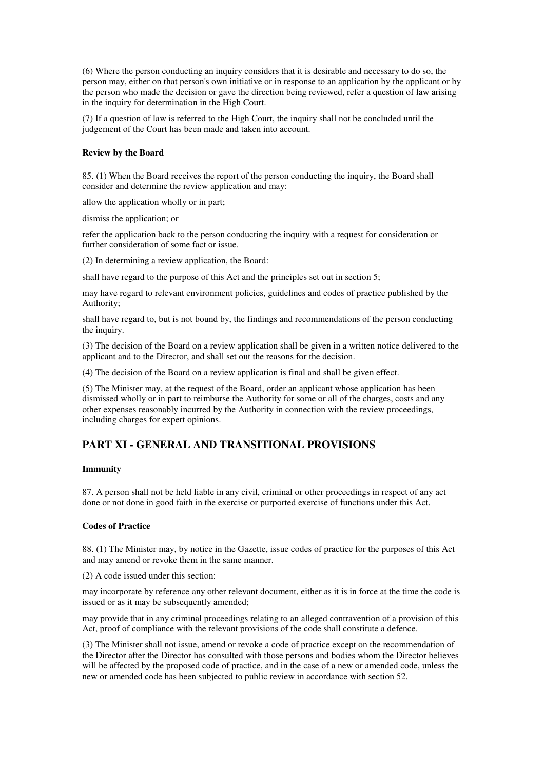(6) Where the person conducting an inquiry considers that it is desirable and necessary to do so, the person may, either on that person's own initiative or in response to an application by the applicant or by the person who made the decision or gave the direction being reviewed, refer a question of law arising in the inquiry for determination in the High Court.

(7) If a question of law is referred to the High Court, the inquiry shall not be concluded until the judgement of the Court has been made and taken into account.

#### **Review by the Board**

85. (1) When the Board receives the report of the person conducting the inquiry, the Board shall consider and determine the review application and may:

allow the application wholly or in part;

dismiss the application; or

refer the application back to the person conducting the inquiry with a request for consideration or further consideration of some fact or issue.

(2) In determining a review application, the Board:

shall have regard to the purpose of this Act and the principles set out in section 5;

may have regard to relevant environment policies, guidelines and codes of practice published by the Authority;

shall have regard to, but is not bound by, the findings and recommendations of the person conducting the inquiry.

(3) The decision of the Board on a review application shall be given in a written notice delivered to the applicant and to the Director, and shall set out the reasons for the decision.

(4) The decision of the Board on a review application is final and shall be given effect.

(5) The Minister may, at the request of the Board, order an applicant whose application has been dismissed wholly or in part to reimburse the Authority for some or all of the charges, costs and any other expenses reasonably incurred by the Authority in connection with the review proceedings, including charges for expert opinions.

# **PART XI - GENERAL AND TRANSITIONAL PROVISIONS**

### **Immunity**

87. A person shall not be held liable in any civil, criminal or other proceedings in respect of any act done or not done in good faith in the exercise or purported exercise of functions under this Act.

### **Codes of Practice**

88. (1) The Minister may, by notice in the Gazette, issue codes of practice for the purposes of this Act and may amend or revoke them in the same manner.

(2) A code issued under this section:

may incorporate by reference any other relevant document, either as it is in force at the time the code is issued or as it may be subsequently amended;

may provide that in any criminal proceedings relating to an alleged contravention of a provision of this Act, proof of compliance with the relevant provisions of the code shall constitute a defence.

(3) The Minister shall not issue, amend or revoke a code of practice except on the recommendation of the Director after the Director has consulted with those persons and bodies whom the Director believes will be affected by the proposed code of practice, and in the case of a new or amended code, unless the new or amended code has been subjected to public review in accordance with section 52.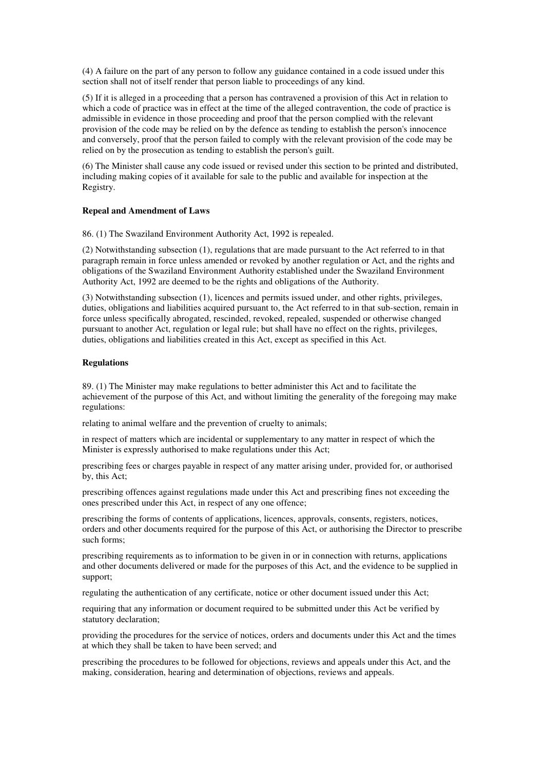(4) A failure on the part of any person to follow any guidance contained in a code issued under this section shall not of itself render that person liable to proceedings of any kind.

(5) If it is alleged in a proceeding that a person has contravened a provision of this Act in relation to which a code of practice was in effect at the time of the alleged contravention, the code of practice is admissible in evidence in those proceeding and proof that the person complied with the relevant provision of the code may be relied on by the defence as tending to establish the person's innocence and conversely, proof that the person failed to comply with the relevant provision of the code may be relied on by the prosecution as tending to establish the person's guilt.

(6) The Minister shall cause any code issued or revised under this section to be printed and distributed, including making copies of it available for sale to the public and available for inspection at the Registry.

#### **Repeal and Amendment of Laws**

86. (1) The Swaziland Environment Authority Act, 1992 is repealed.

(2) Notwithstanding subsection (1), regulations that are made pursuant to the Act referred to in that paragraph remain in force unless amended or revoked by another regulation or Act, and the rights and obligations of the Swaziland Environment Authority established under the Swaziland Environment Authority Act, 1992 are deemed to be the rights and obligations of the Authority.

(3) Notwithstanding subsection (1), licences and permits issued under, and other rights, privileges, duties, obligations and liabilities acquired pursuant to, the Act referred to in that sub-section, remain in force unless specifically abrogated, rescinded, revoked, repealed, suspended or otherwise changed pursuant to another Act, regulation or legal rule; but shall have no effect on the rights, privileges, duties, obligations and liabilities created in this Act, except as specified in this Act.

#### **Regulations**

89. (1) The Minister may make regulations to better administer this Act and to facilitate the achievement of the purpose of this Act, and without limiting the generality of the foregoing may make regulations:

relating to animal welfare and the prevention of cruelty to animals;

in respect of matters which are incidental or supplementary to any matter in respect of which the Minister is expressly authorised to make regulations under this Act;

prescribing fees or charges payable in respect of any matter arising under, provided for, or authorised by, this Act;

prescribing offences against regulations made under this Act and prescribing fines not exceeding the ones prescribed under this Act, in respect of any one offence;

prescribing the forms of contents of applications, licences, approvals, consents, registers, notices, orders and other documents required for the purpose of this Act, or authorising the Director to prescribe such forms;

prescribing requirements as to information to be given in or in connection with returns, applications and other documents delivered or made for the purposes of this Act, and the evidence to be supplied in support;

regulating the authentication of any certificate, notice or other document issued under this Act;

requiring that any information or document required to be submitted under this Act be verified by statutory declaration;

providing the procedures for the service of notices, orders and documents under this Act and the times at which they shall be taken to have been served; and

prescribing the procedures to be followed for objections, reviews and appeals under this Act, and the making, consideration, hearing and determination of objections, reviews and appeals.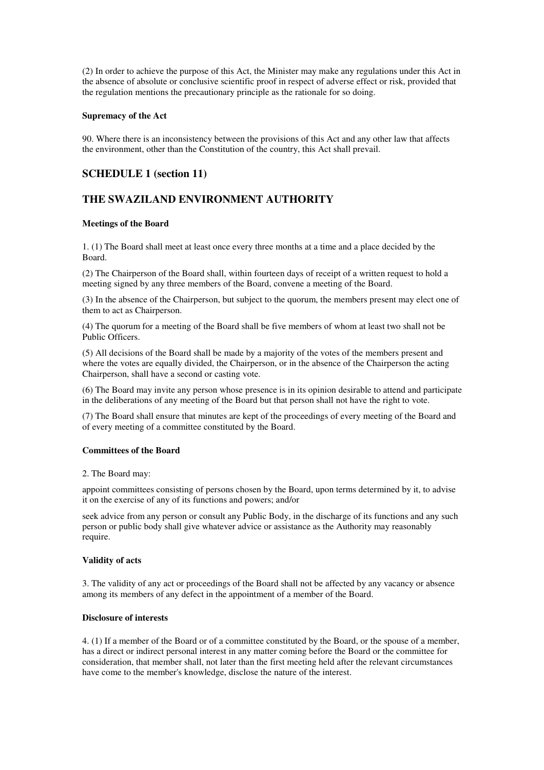(2) In order to achieve the purpose of this Act, the Minister may make any regulations under this Act in the absence of absolute or conclusive scientific proof in respect of adverse effect or risk, provided that the regulation mentions the precautionary principle as the rationale for so doing.

#### **Supremacy of the Act**

90. Where there is an inconsistency between the provisions of this Act and any other law that affects the environment, other than the Constitution of the country, this Act shall prevail.

# **SCHEDULE 1 (section 11)**

# **THE SWAZILAND ENVIRONMENT AUTHORITY**

# **Meetings of the Board**

1. (1) The Board shall meet at least once every three months at a time and a place decided by the Board.

(2) The Chairperson of the Board shall, within fourteen days of receipt of a written request to hold a meeting signed by any three members of the Board, convene a meeting of the Board.

(3) In the absence of the Chairperson, but subject to the quorum, the members present may elect one of them to act as Chairperson.

(4) The quorum for a meeting of the Board shall be five members of whom at least two shall not be Public Officers.

(5) All decisions of the Board shall be made by a majority of the votes of the members present and where the votes are equally divided, the Chairperson, or in the absence of the Chairperson the acting Chairperson, shall have a second or casting vote.

(6) The Board may invite any person whose presence is in its opinion desirable to attend and participate in the deliberations of any meeting of the Board but that person shall not have the right to vote.

(7) The Board shall ensure that minutes are kept of the proceedings of every meeting of the Board and of every meeting of a committee constituted by the Board.

#### **Committees of the Board**

#### 2. The Board may:

appoint committees consisting of persons chosen by the Board, upon terms determined by it, to advise it on the exercise of any of its functions and powers; and/or

seek advice from any person or consult any Public Body, in the discharge of its functions and any such person or public body shall give whatever advice or assistance as the Authority may reasonably require.

#### **Validity of acts**

3. The validity of any act or proceedings of the Board shall not be affected by any vacancy or absence among its members of any defect in the appointment of a member of the Board.

# **Disclosure of interests**

4. (1) If a member of the Board or of a committee constituted by the Board, or the spouse of a member, has a direct or indirect personal interest in any matter coming before the Board or the committee for consideration, that member shall, not later than the first meeting held after the relevant circumstances have come to the member's knowledge, disclose the nature of the interest.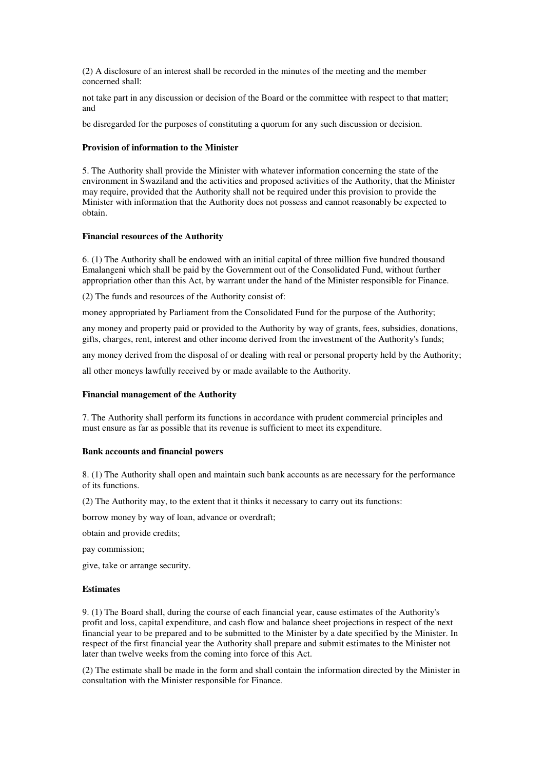(2) A disclosure of an interest shall be recorded in the minutes of the meeting and the member concerned shall:

not take part in any discussion or decision of the Board or the committee with respect to that matter; and

be disregarded for the purposes of constituting a quorum for any such discussion or decision.

### **Provision of information to the Minister**

5. The Authority shall provide the Minister with whatever information concerning the state of the environment in Swaziland and the activities and proposed activities of the Authority, that the Minister may require, provided that the Authority shall not be required under this provision to provide the Minister with information that the Authority does not possess and cannot reasonably be expected to obtain.

### **Financial resources of the Authority**

6. (1) The Authority shall be endowed with an initial capital of three million five hundred thousand Emalangeni which shall be paid by the Government out of the Consolidated Fund, without further appropriation other than this Act, by warrant under the hand of the Minister responsible for Finance.

(2) The funds and resources of the Authority consist of:

money appropriated by Parliament from the Consolidated Fund for the purpose of the Authority;

any money and property paid or provided to the Authority by way of grants, fees, subsidies, donations, gifts, charges, rent, interest and other income derived from the investment of the Authority's funds;

any money derived from the disposal of or dealing with real or personal property held by the Authority;

all other moneys lawfully received by or made available to the Authority.

# **Financial management of the Authority**

7. The Authority shall perform its functions in accordance with prudent commercial principles and must ensure as far as possible that its revenue is sufficient to meet its expenditure.

#### **Bank accounts and financial powers**

8. (1) The Authority shall open and maintain such bank accounts as are necessary for the performance of its functions.

(2) The Authority may, to the extent that it thinks it necessary to carry out its functions:

borrow money by way of loan, advance or overdraft;

obtain and provide credits;

pay commission;

give, take or arrange security.

#### **Estimates**

9. (1) The Board shall, during the course of each financial year, cause estimates of the Authority's profit and loss, capital expenditure, and cash flow and balance sheet projections in respect of the next financial year to be prepared and to be submitted to the Minister by a date specified by the Minister. In respect of the first financial year the Authority shall prepare and submit estimates to the Minister not later than twelve weeks from the coming into force of this Act.

(2) The estimate shall be made in the form and shall contain the information directed by the Minister in consultation with the Minister responsible for Finance.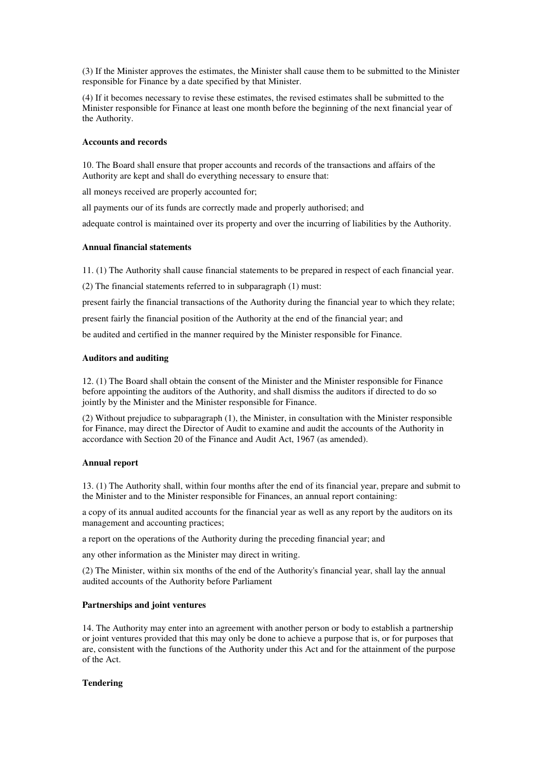(3) If the Minister approves the estimates, the Minister shall cause them to be submitted to the Minister responsible for Finance by a date specified by that Minister.

(4) If it becomes necessary to revise these estimates, the revised estimates shall be submitted to the Minister responsible for Finance at least one month before the beginning of the next financial year of the Authority.

#### **Accounts and records**

10. The Board shall ensure that proper accounts and records of the transactions and affairs of the Authority are kept and shall do everything necessary to ensure that:

all moneys received are properly accounted for;

all payments our of its funds are correctly made and properly authorised; and

adequate control is maintained over its property and over the incurring of liabilities by the Authority.

# **Annual financial statements**

11. (1) The Authority shall cause financial statements to be prepared in respect of each financial year.

(2) The financial statements referred to in subparagraph (1) must:

present fairly the financial transactions of the Authority during the financial year to which they relate;

present fairly the financial position of the Authority at the end of the financial year; and

be audited and certified in the manner required by the Minister responsible for Finance.

### **Auditors and auditing**

12. (1) The Board shall obtain the consent of the Minister and the Minister responsible for Finance before appointing the auditors of the Authority, and shall dismiss the auditors if directed to do so jointly by the Minister and the Minister responsible for Finance.

(2) Without prejudice to subparagraph (1), the Minister, in consultation with the Minister responsible for Finance, may direct the Director of Audit to examine and audit the accounts of the Authority in accordance with Section 20 of the Finance and Audit Act, 1967 (as amended).

#### **Annual report**

13. (1) The Authority shall, within four months after the end of its financial year, prepare and submit to the Minister and to the Minister responsible for Finances, an annual report containing:

a copy of its annual audited accounts for the financial year as well as any report by the auditors on its management and accounting practices;

a report on the operations of the Authority during the preceding financial year; and

any other information as the Minister may direct in writing.

(2) The Minister, within six months of the end of the Authority's financial year, shall lay the annual audited accounts of the Authority before Parliament

# **Partnerships and joint ventures**

14. The Authority may enter into an agreement with another person or body to establish a partnership or joint ventures provided that this may only be done to achieve a purpose that is, or for purposes that are, consistent with the functions of the Authority under this Act and for the attainment of the purpose of the Act.

# **Tendering**